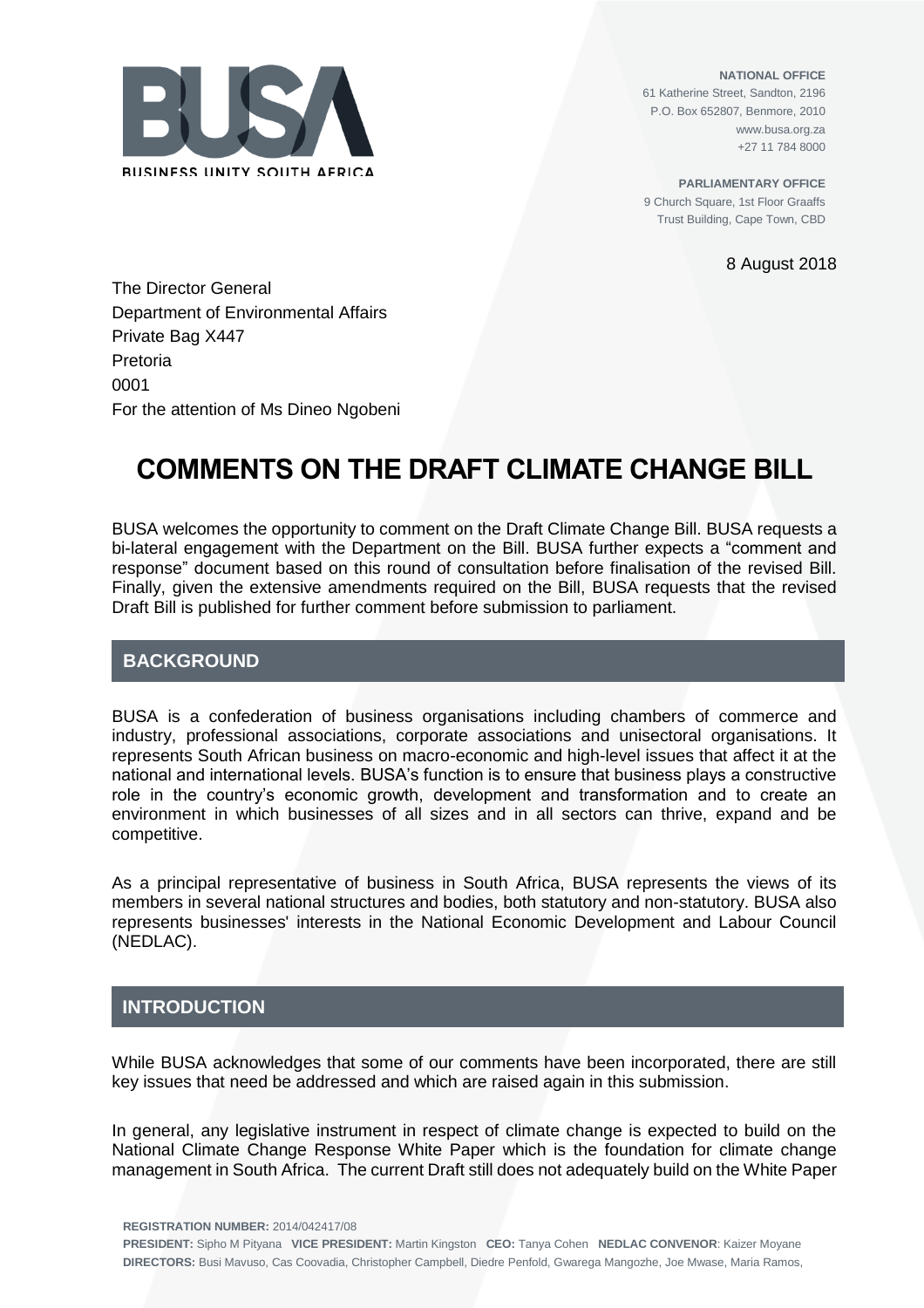

**NATIONAL OFFICE** 61 Katherine Street, Sandton, 2196 P.O. Box 652807, Benmore, 2010 www.busa.org.za +27 11 784 8000

**PARLIAMENTARY OFFICE** 9 Church Square, 1st Floor Graaffs Trust Building, Cape Town, CBD

8 August 2018

The Director General Department of Environmental Affairs Private Bag X447 Pretoria 0001 For the attention of Ms Dineo Ngobeni

# **COMMENTS ON THE DRAFT CLIMATE CHANGE BILL**

BUSA welcomes the opportunity to comment on the Draft Climate Change Bill. BUSA requests a bi-lateral engagement with the Department on the Bill. BUSA further expects a "comment and response" document based on this round of consultation before finalisation of the revised Bill. Finally, given the extensive amendments required on the Bill, BUSA requests that the revised Draft Bill is published for further comment before submission to parliament.

# **BACKGROUND**

BUSA is a confederation of business organisations including chambers of commerce and industry, professional associations, corporate associations and unisectoral organisations. It represents South African business on macro-economic and high-level issues that affect it at the national and international levels. BUSA's function is to ensure that business plays a constructive role in the country's economic growth, development and transformation and to create an environment in which businesses of all sizes and in all sectors can thrive, expand and be competitive.

As a principal representative of business in South Africa, BUSA represents the views of its members in several national structures and bodies, both statutory and non-statutory. BUSA also represents businesses' interests in the National Economic Development and Labour Council (NEDLAC).

## **INTRODUCTION**

While BUSA acknowledges that some of our comments have been incorporated, there are still key issues that need be addressed and which are raised again in this submission.

In general, any legislative instrument in respect of climate change is expected to build on the National Climate Change Response White Paper which is the foundation for climate change management in South Africa. The current Draft still does not adequately build on the White Paper

**REGISTRATION NUMBER:** 2014/042417/08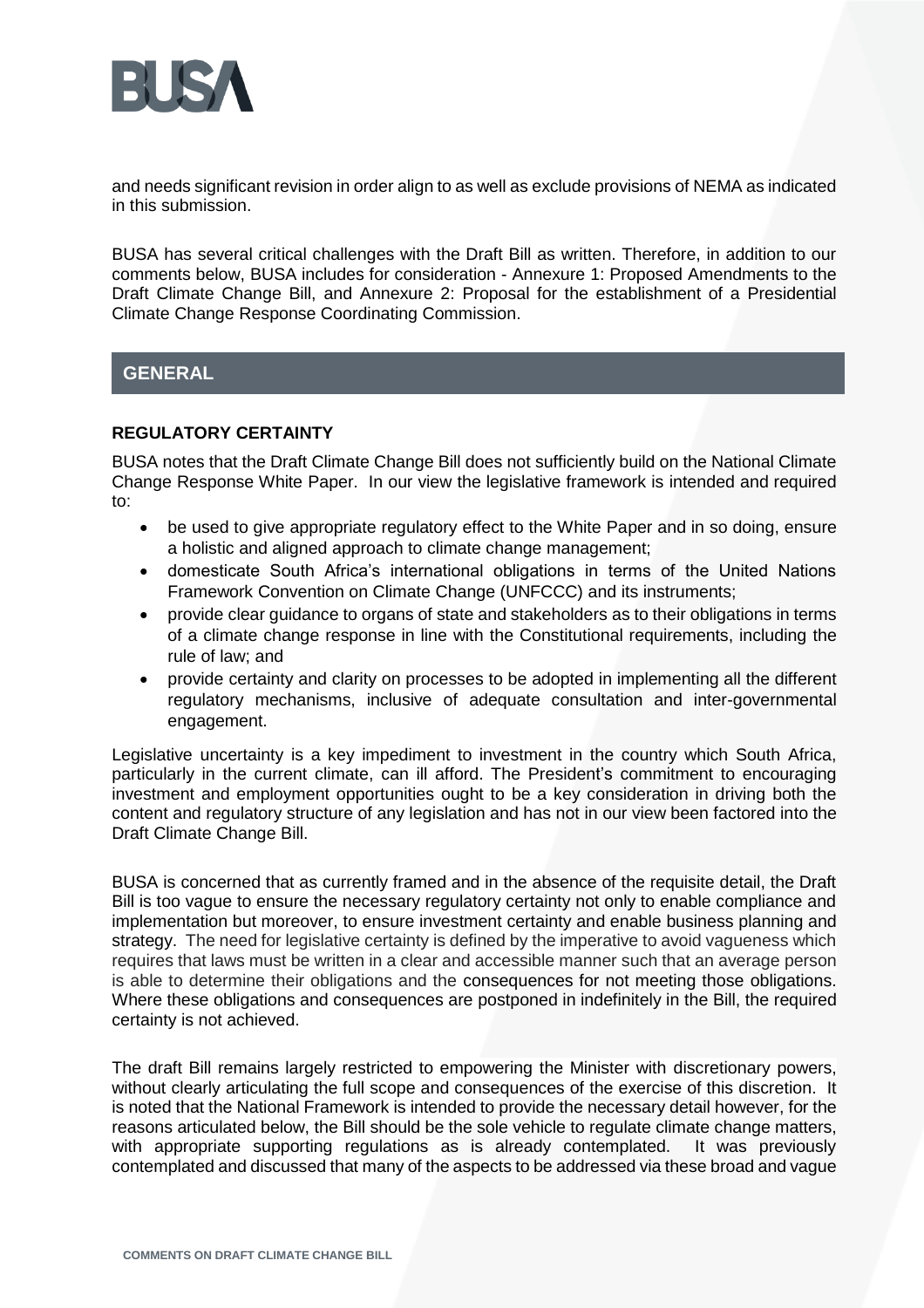

and needs significant revision in order align to as well as exclude provisions of NEMA as indicated in this submission.

BUSA has several critical challenges with the Draft Bill as written. Therefore, in addition to our comments below, BUSA includes for consideration - Annexure 1: Proposed Amendments to the Draft Climate Change Bill, and Annexure 2: Proposal for the establishment of a Presidential Climate Change Response Coordinating Commission.

# **GENERAL**

## **REGULATORY CERTAINTY**

BUSA notes that the Draft Climate Change Bill does not sufficiently build on the National Climate Change Response White Paper. In our view the legislative framework is intended and required to:

- be used to give appropriate regulatory effect to the White Paper and in so doing, ensure a holistic and aligned approach to climate change management;
- domesticate South Africa's international obligations in terms of the United Nations Framework Convention on Climate Change (UNFCCC) and its instruments;
- provide clear guidance to organs of state and stakeholders as to their obligations in terms of a climate change response in line with the Constitutional requirements, including the rule of law; and
- provide certainty and clarity on processes to be adopted in implementing all the different regulatory mechanisms, inclusive of adequate consultation and inter-governmental engagement.

Legislative uncertainty is a key impediment to investment in the country which South Africa, particularly in the current climate, can ill afford. The President's commitment to encouraging investment and employment opportunities ought to be a key consideration in driving both the content and regulatory structure of any legislation and has not in our view been factored into the Draft Climate Change Bill.

BUSA is concerned that as currently framed and in the absence of the requisite detail, the Draft Bill is too vague to ensure the necessary regulatory certainty not only to enable compliance and implementation but moreover, to ensure investment certainty and enable business planning and strategy. The need for legislative certainty is defined by the imperative to avoid vagueness which requires that laws must be written in a clear and accessible manner such that an average person is able to determine their obligations and the consequences for not meeting those obligations. Where these obligations and consequences are postponed in indefinitely in the Bill, the required certainty is not achieved.

The draft Bill remains largely restricted to empowering the Minister with discretionary powers, without clearly articulating the full scope and consequences of the exercise of this discretion. It is noted that the National Framework is intended to provide the necessary detail however, for the reasons articulated below, the Bill should be the sole vehicle to regulate climate change matters, with appropriate supporting regulations as is already contemplated. It was previously contemplated and discussed that many of the aspects to be addressed via these broad and vague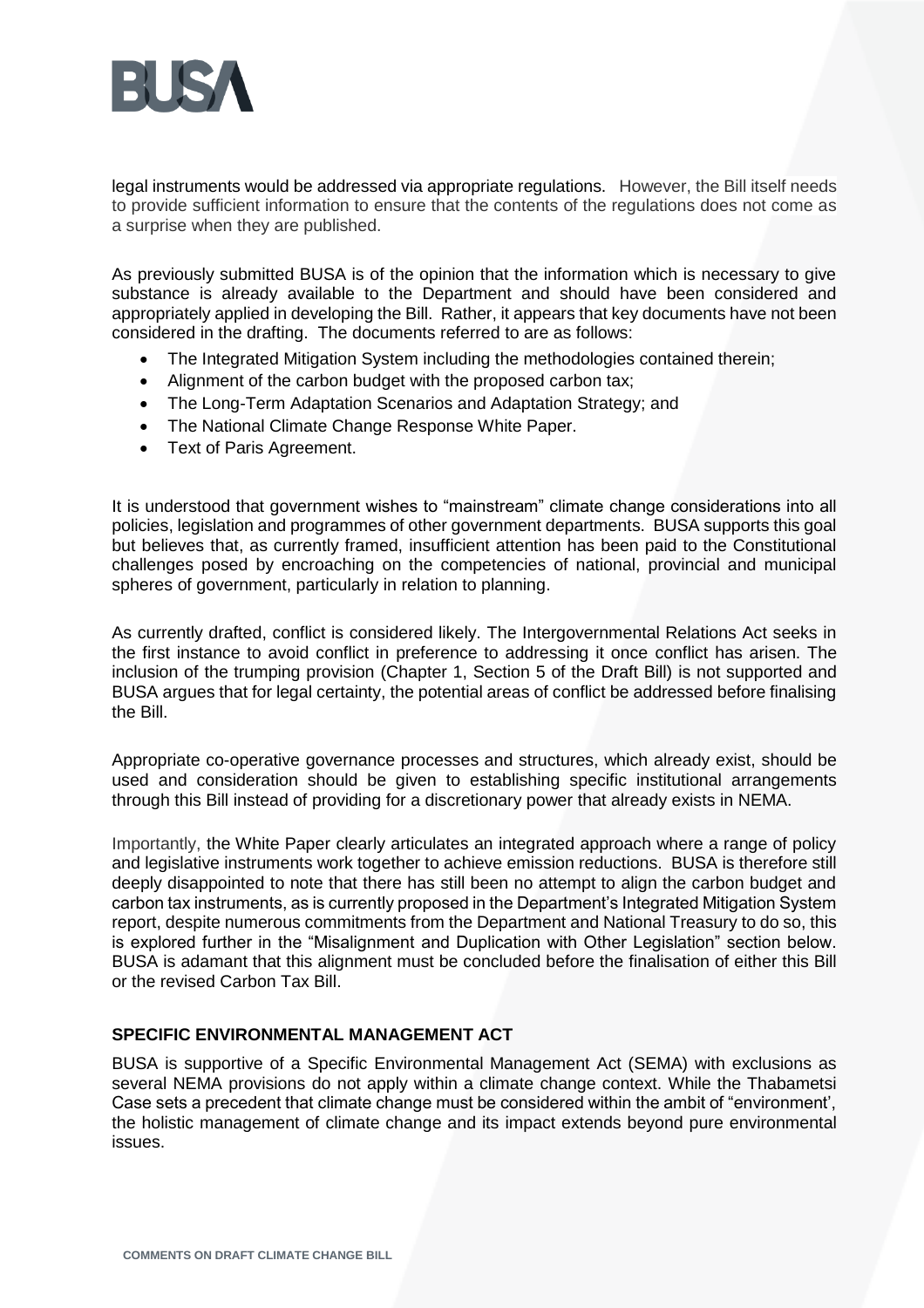

legal instruments would be addressed via appropriate regulations. However, the Bill itself needs to provide sufficient information to ensure that the contents of the regulations does not come as a surprise when they are published.

As previously submitted BUSA is of the opinion that the information which is necessary to give substance is already available to the Department and should have been considered and appropriately applied in developing the Bill. Rather, it appears that key documents have not been considered in the drafting. The documents referred to are as follows:

- The Integrated Mitigation System including the methodologies contained therein;
- Alignment of the carbon budget with the proposed carbon tax;
- The Long-Term Adaptation Scenarios and Adaptation Strategy; and
- The National Climate Change Response White Paper.
- Text of Paris Agreement.

It is understood that government wishes to "mainstream" climate change considerations into all policies, legislation and programmes of other government departments. BUSA supports this goal but believes that, as currently framed, insufficient attention has been paid to the Constitutional challenges posed by encroaching on the competencies of national, provincial and municipal spheres of government, particularly in relation to planning.

As currently drafted, conflict is considered likely. The Intergovernmental Relations Act seeks in the first instance to avoid conflict in preference to addressing it once conflict has arisen. The inclusion of the trumping provision (Chapter 1, Section 5 of the Draft Bill) is not supported and BUSA argues that for legal certainty, the potential areas of conflict be addressed before finalising the Bill.

Appropriate co-operative governance processes and structures, which already exist, should be used and consideration should be given to establishing specific institutional arrangements through this Bill instead of providing for a discretionary power that already exists in NEMA.

Importantly, the White Paper clearly articulates an integrated approach where a range of policy and legislative instruments work together to achieve emission reductions. BUSA is therefore still deeply disappointed to note that there has still been no attempt to align the carbon budget and carbon tax instruments, as is currently proposed in the Department's Integrated Mitigation System report, despite numerous commitments from the Department and National Treasury to do so, this is explored further in the "Misalignment and Duplication with Other Legislation" section below. BUSA is adamant that this alignment must be concluded before the finalisation of either this Bill or the revised Carbon Tax Bill.

#### **SPECIFIC ENVIRONMENTAL MANAGEMENT ACT**

BUSA is supportive of a Specific Environmental Management Act (SEMA) with exclusions as several NEMA provisions do not apply within a climate change context. While the Thabametsi Case sets a precedent that climate change must be considered within the ambit of "environment', the holistic management of climate change and its impact extends beyond pure environmental issues.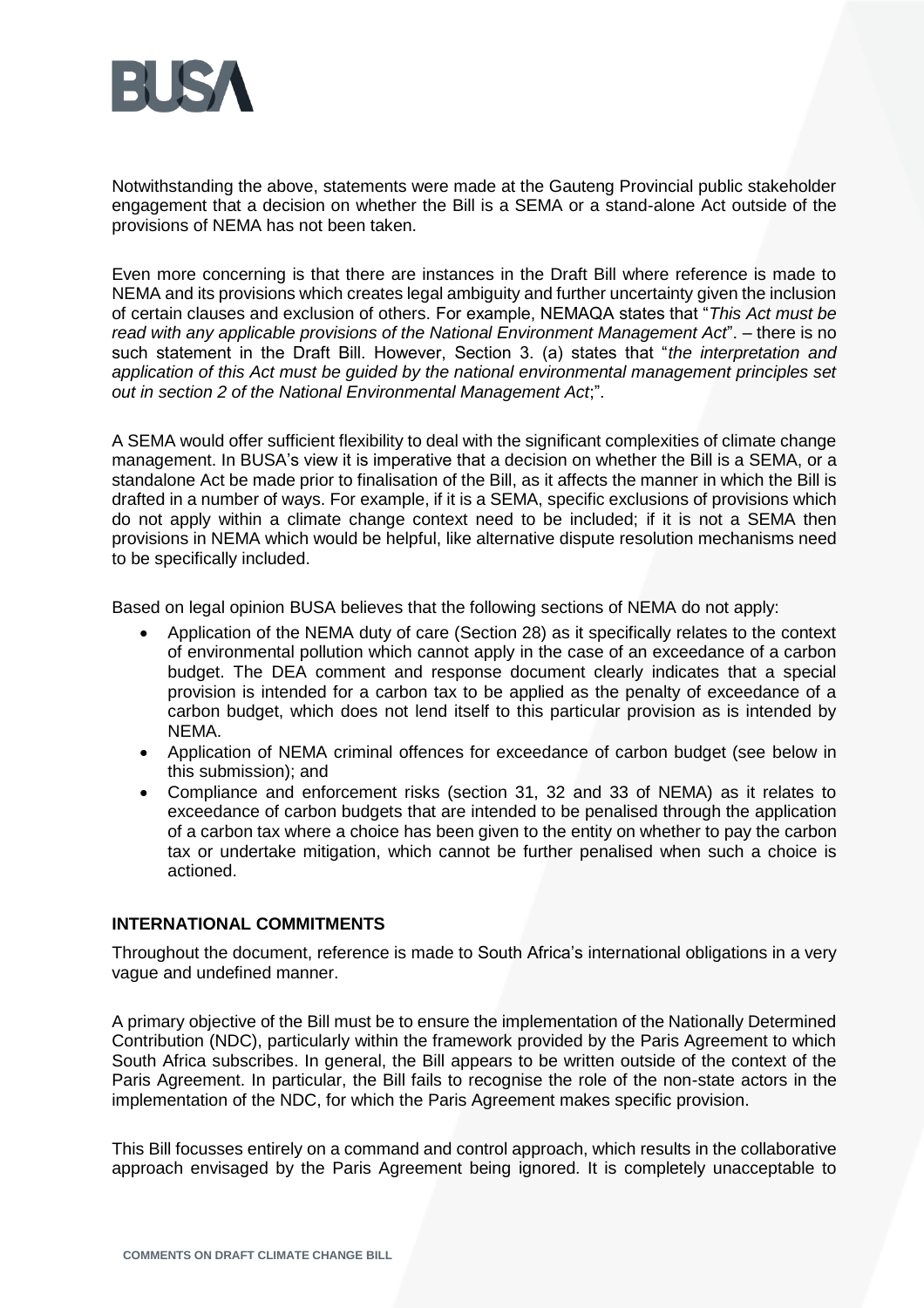

Notwithstanding the above, statements were made at the Gauteng Provincial public stakeholder engagement that a decision on whether the Bill is a SEMA or a stand-alone Act outside of the provisions of NEMA has not been taken.

Even more concerning is that there are instances in the Draft Bill where reference is made to NEMA and its provisions which creates legal ambiguity and further uncertainty given the inclusion of certain clauses and exclusion of others. For example, NEMAQA states that "*This Act must be read with any applicable provisions of the National Environment Management Act*". – there is no such statement in the Draft Bill. However, Section 3. (a) states that "*the interpretation and application of this Act must be guided by the national environmental management principles set out in section 2 of the National Environmental Management Act*;".

A SEMA would offer sufficient flexibility to deal with the significant complexities of climate change management. In BUSA's view it is imperative that a decision on whether the Bill is a SEMA, or a standalone Act be made prior to finalisation of the Bill, as it affects the manner in which the Bill is drafted in a number of ways. For example, if it is a SEMA, specific exclusions of provisions which do not apply within a climate change context need to be included; if it is not a SEMA then provisions in NEMA which would be helpful, like alternative dispute resolution mechanisms need to be specifically included.

Based on legal opinion BUSA believes that the following sections of NEMA do not apply:

- Application of the NEMA duty of care (Section 28) as it specifically relates to the context of environmental pollution which cannot apply in the case of an exceedance of a carbon budget. The DEA comment and response document clearly indicates that a special provision is intended for a carbon tax to be applied as the penalty of exceedance of a carbon budget, which does not lend itself to this particular provision as is intended by NEMA.
- Application of NEMA criminal offences for exceedance of carbon budget (see below in this submission); and
- Compliance and enforcement risks (section 31, 32 and 33 of NEMA) as it relates to exceedance of carbon budgets that are intended to be penalised through the application of a carbon tax where a choice has been given to the entity on whether to pay the carbon tax or undertake mitigation, which cannot be further penalised when such a choice is actioned.

## **INTERNATIONAL COMMITMENTS**

Throughout the document, reference is made to South Africa's international obligations in a very vague and undefined manner.

A primary objective of the Bill must be to ensure the implementation of the Nationally Determined Contribution (NDC), particularly within the framework provided by the Paris Agreement to which South Africa subscribes. In general, the Bill appears to be written outside of the context of the Paris Agreement. In particular, the Bill fails to recognise the role of the non-state actors in the implementation of the NDC, for which the Paris Agreement makes specific provision.

This Bill focusses entirely on a command and control approach, which results in the collaborative approach envisaged by the Paris Agreement being ignored. It is completely unacceptable to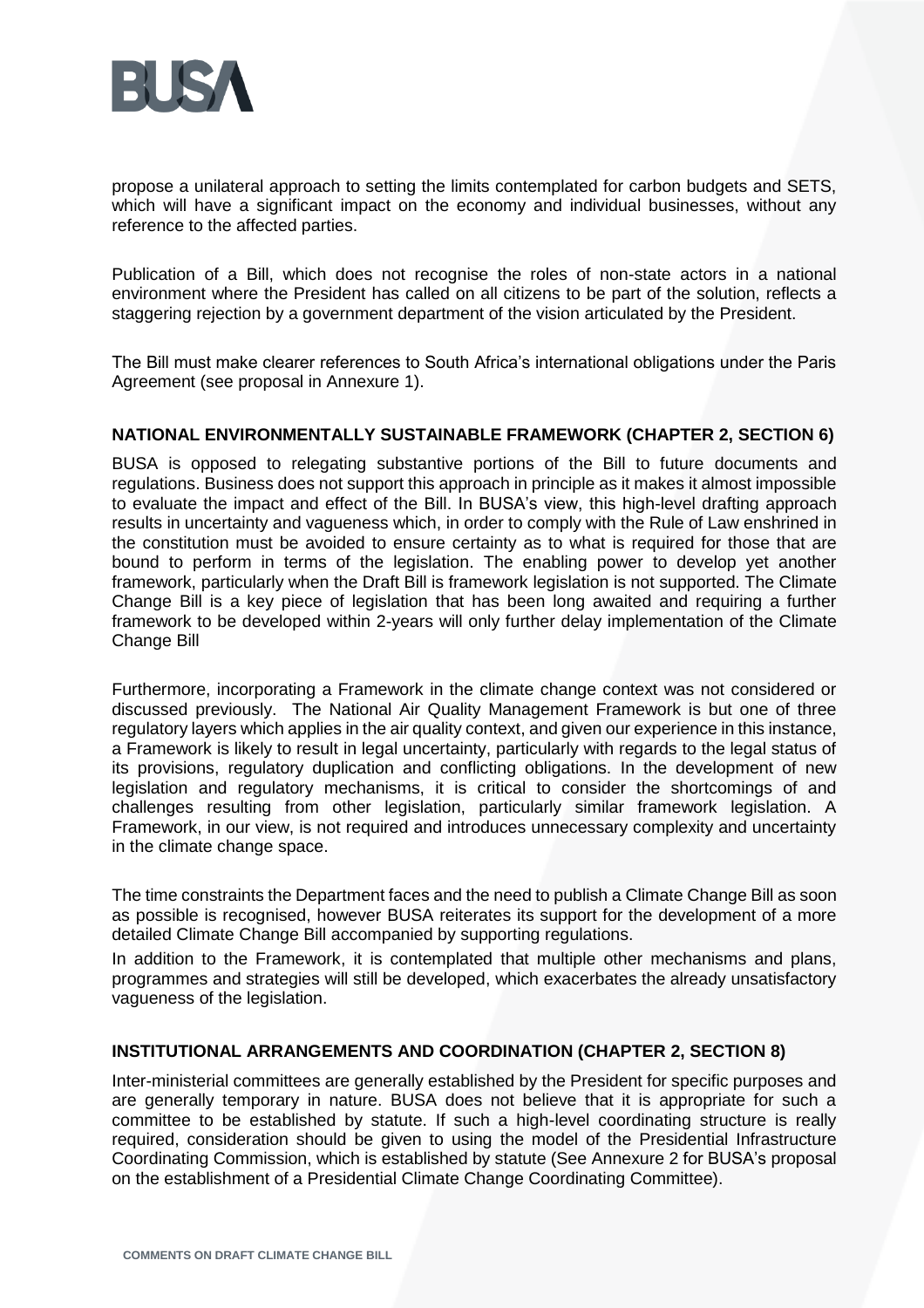

propose a unilateral approach to setting the limits contemplated for carbon budgets and SETS, which will have a significant impact on the economy and individual businesses, without any reference to the affected parties.

Publication of a Bill, which does not recognise the roles of non-state actors in a national environment where the President has called on all citizens to be part of the solution, reflects a staggering rejection by a government department of the vision articulated by the President.

The Bill must make clearer references to South Africa's international obligations under the Paris Agreement (see proposal in Annexure 1).

#### **NATIONAL ENVIRONMENTALLY SUSTAINABLE FRAMEWORK (CHAPTER 2, SECTION 6)**

BUSA is opposed to relegating substantive portions of the Bill to future documents and regulations. Business does not support this approach in principle as it makes it almost impossible to evaluate the impact and effect of the Bill. In BUSA's view, this high-level drafting approach results in uncertainty and vagueness which, in order to comply with the Rule of Law enshrined in the constitution must be avoided to ensure certainty as to what is required for those that are bound to perform in terms of the legislation. The enabling power to develop yet another framework, particularly when the Draft Bill is framework legislation is not supported. The Climate Change Bill is a key piece of legislation that has been long awaited and requiring a further framework to be developed within 2-years will only further delay implementation of the Climate Change Bill

Furthermore, incorporating a Framework in the climate change context was not considered or discussed previously. The National Air Quality Management Framework is but one of three regulatory layers which applies in the air quality context, and given our experience in this instance, a Framework is likely to result in legal uncertainty, particularly with regards to the legal status of its provisions, regulatory duplication and conflicting obligations. In the development of new legislation and regulatory mechanisms, it is critical to consider the shortcomings of and challenges resulting from other legislation, particularly similar framework legislation. A Framework, in our view, is not required and introduces unnecessary complexity and uncertainty in the climate change space.

The time constraints the Department faces and the need to publish a Climate Change Bill as soon as possible is recognised, however BUSA reiterates its support for the development of a more detailed Climate Change Bill accompanied by supporting regulations.

In addition to the Framework, it is contemplated that multiple other mechanisms and plans, programmes and strategies will still be developed, which exacerbates the already unsatisfactory vagueness of the legislation.

#### **INSTITUTIONAL ARRANGEMENTS AND COORDINATION (CHAPTER 2, SECTION 8)**

Inter-ministerial committees are generally established by the President for specific purposes and are generally temporary in nature. BUSA does not believe that it is appropriate for such a committee to be established by statute. If such a high-level coordinating structure is really required, consideration should be given to using the model of the Presidential Infrastructure Coordinating Commission, which is established by statute (See Annexure 2 for BUSA's proposal on the establishment of a Presidential Climate Change Coordinating Committee).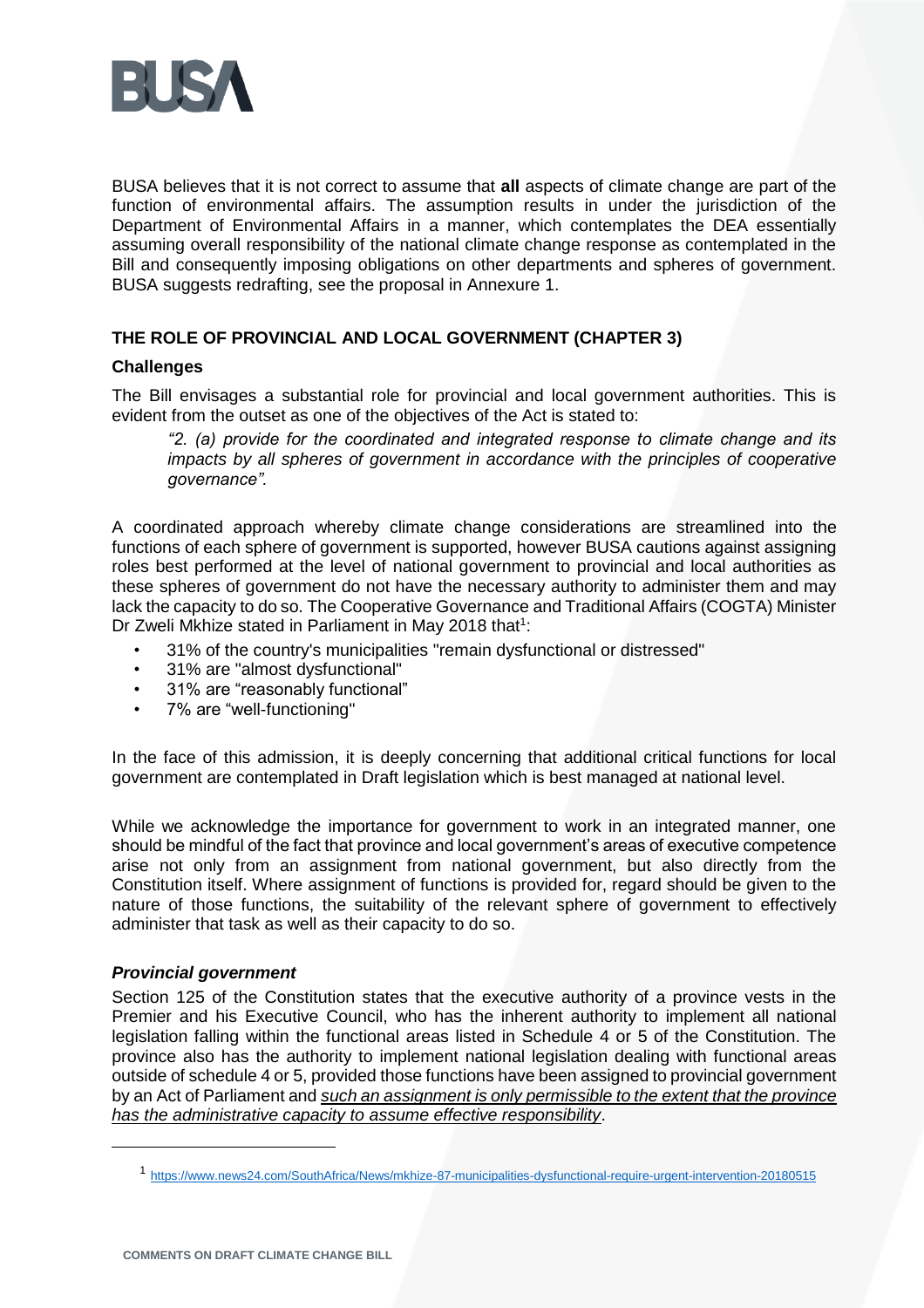

BUSA believes that it is not correct to assume that **all** aspects of climate change are part of the function of environmental affairs. The assumption results in under the jurisdiction of the Department of Environmental Affairs in a manner, which contemplates the DEA essentially assuming overall responsibility of the national climate change response as contemplated in the Bill and consequently imposing obligations on other departments and spheres of government. BUSA suggests redrafting, see the proposal in Annexure 1.

## **THE ROLE OF PROVINCIAL AND LOCAL GOVERNMENT (CHAPTER 3)**

## **Challenges**

The Bill envisages a substantial role for provincial and local government authorities. This is evident from the outset as one of the objectives of the Act is stated to:

*"2. (a) provide for the coordinated and integrated response to climate change and its impacts by all spheres of government in accordance with the principles of cooperative governance".* 

A coordinated approach whereby climate change considerations are streamlined into the functions of each sphere of government is supported, however BUSA cautions against assigning roles best performed at the level of national government to provincial and local authorities as these spheres of government do not have the necessary authority to administer them and may lack the capacity to do so. The Cooperative Governance and Traditional Affairs (COGTA) Minister Dr Zweli Mkhize stated in Parliament in May 2018 that $1$ :

- 31% of the country's municipalities "remain dysfunctional or distressed"
- 31% are "almost dysfunctional"
- 31% are "reasonably functional"
- 7% are "well-functioning"

In the face of this admission, it is deeply concerning that additional critical functions for local government are contemplated in Draft legislation which is best managed at national level.

While we acknowledge the importance for government to work in an integrated manner, one should be mindful of the fact that province and local government's areas of executive competence arise not only from an assignment from national government, but also directly from the Constitution itself. Where assignment of functions is provided for, regard should be given to the nature of those functions, the suitability of the relevant sphere of government to effectively administer that task as well as their capacity to do so.

## *Provincial government*

 $\overline{a}$ 

Section 125 of the Constitution states that the executive authority of a province vests in the Premier and his Executive Council, who has the inherent authority to implement all national legislation falling within the functional areas listed in Schedule 4 or 5 of the Constitution. The province also has the authority to implement national legislation dealing with functional areas outside of schedule 4 or 5, provided those functions have been assigned to provincial government by an Act of Parliament and *such an assignment is only permissible to the extent that the province has the administrative capacity to assume effective responsibility*.

<sup>1</sup> <https://www.news24.com/SouthAfrica/News/mkhize-87-municipalities-dysfunctional-require-urgent-intervention-20180515>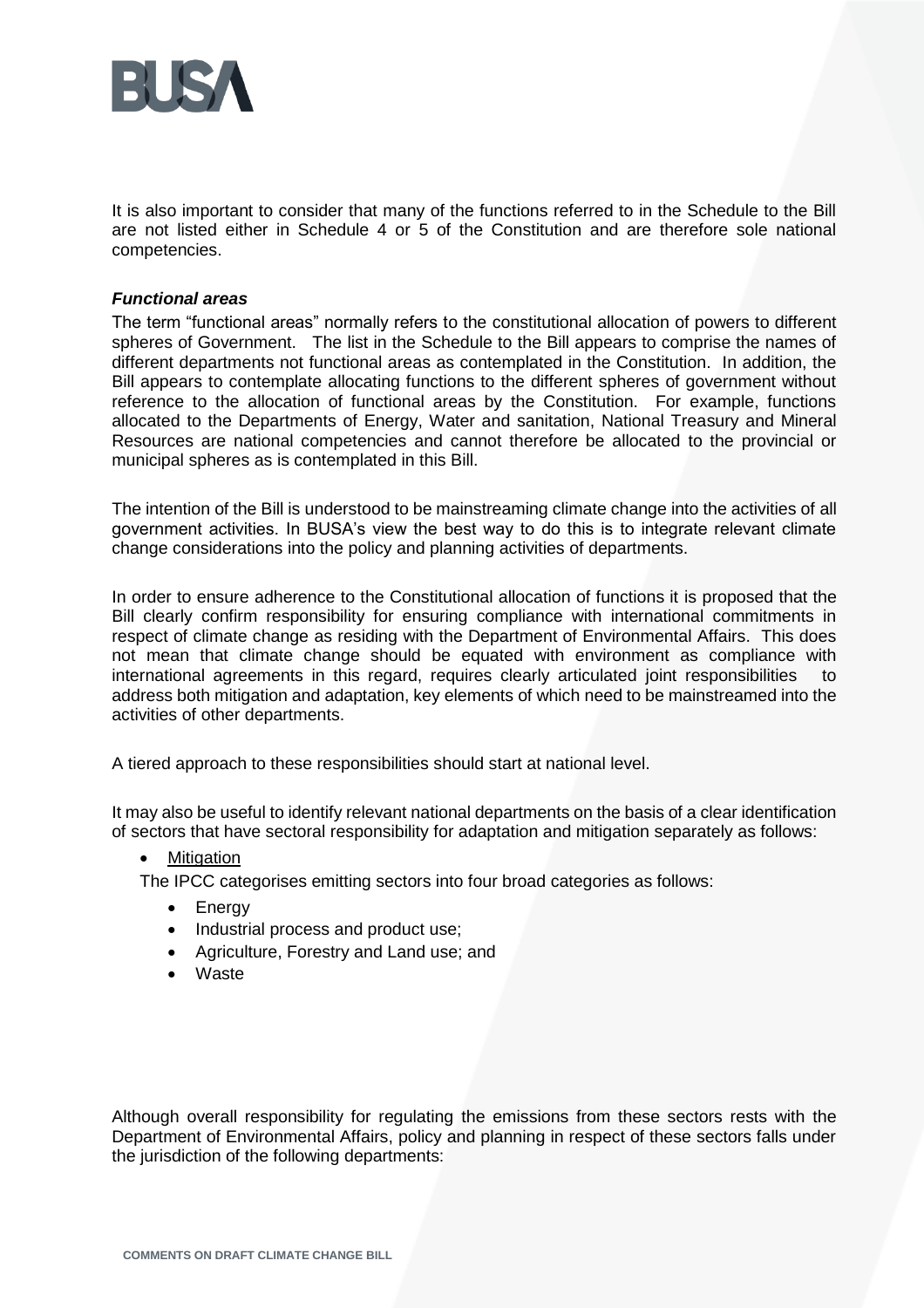

It is also important to consider that many of the functions referred to in the Schedule to the Bill are not listed either in Schedule 4 or 5 of the Constitution and are therefore sole national competencies.

#### *Functional areas*

The term "functional areas" normally refers to the constitutional allocation of powers to different spheres of Government. The list in the Schedule to the Bill appears to comprise the names of different departments not functional areas as contemplated in the Constitution. In addition, the Bill appears to contemplate allocating functions to the different spheres of government without reference to the allocation of functional areas by the Constitution. For example, functions allocated to the Departments of Energy, Water and sanitation, National Treasury and Mineral Resources are national competencies and cannot therefore be allocated to the provincial or municipal spheres as is contemplated in this Bill.

The intention of the Bill is understood to be mainstreaming climate change into the activities of all government activities. In BUSA's view the best way to do this is to integrate relevant climate change considerations into the policy and planning activities of departments.

In order to ensure adherence to the Constitutional allocation of functions it is proposed that the Bill clearly confirm responsibility for ensuring compliance with international commitments in respect of climate change as residing with the Department of Environmental Affairs. This does not mean that climate change should be equated with environment as compliance with international agreements in this regard, requires clearly articulated joint responsibilities to address both mitigation and adaptation, key elements of which need to be mainstreamed into the activities of other departments.

A tiered approach to these responsibilities should start at national level.

It may also be useful to identify relevant national departments on the basis of a clear identification of sectors that have sectoral responsibility for adaptation and mitigation separately as follows:

#### **Mitigation**

The IPCC categorises emitting sectors into four broad categories as follows:

- Energy
- Industrial process and product use;
- Agriculture, Forestry and Land use; and
- Waste

Although overall responsibility for regulating the emissions from these sectors rests with the Department of Environmental Affairs, policy and planning in respect of these sectors falls under the jurisdiction of the following departments: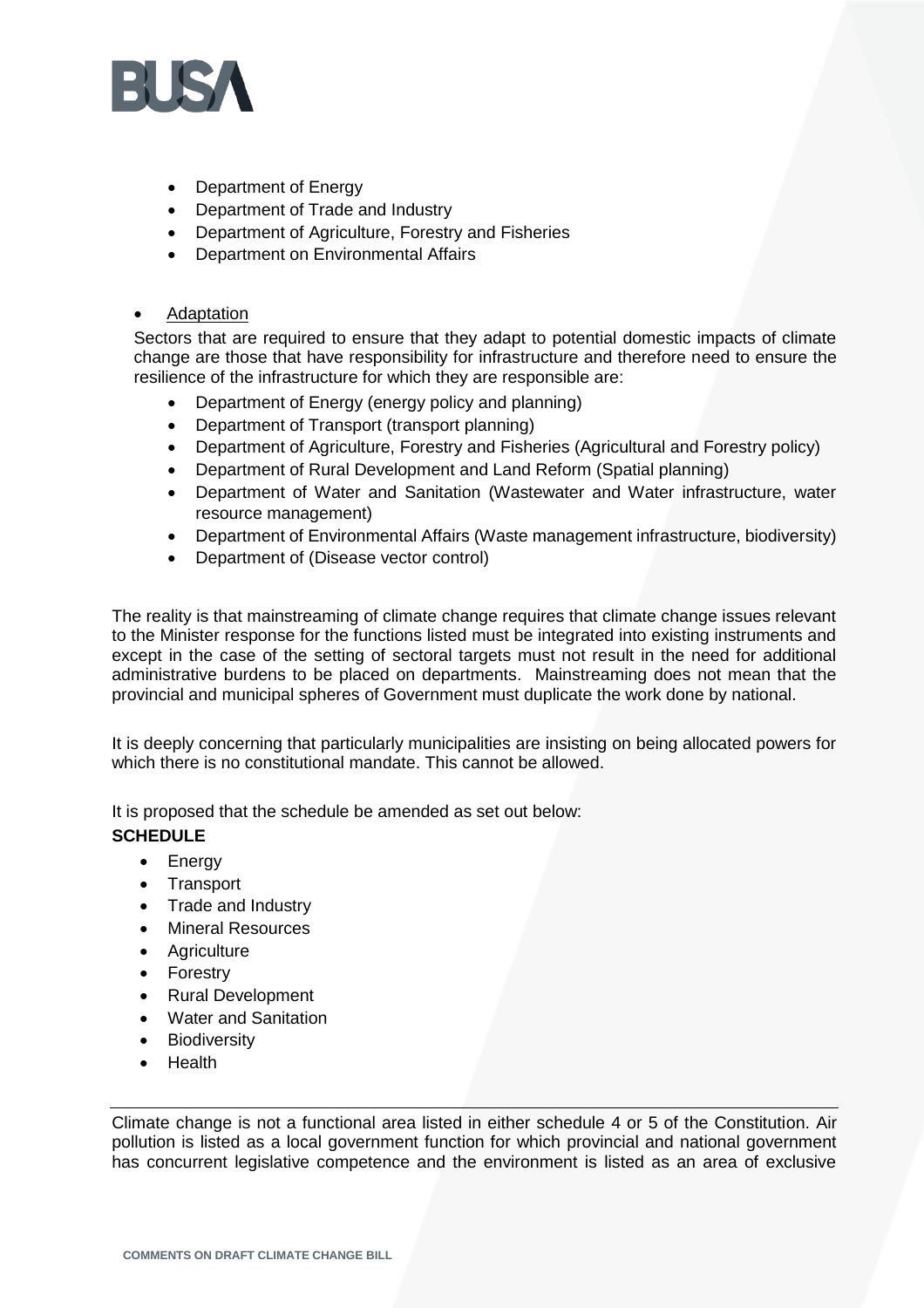

- Department of Energy
- Department of Trade and Industry
- Department of Agriculture, Forestry and Fisheries
- Department on Environmental Affairs

## **Adaptation**

Sectors that are required to ensure that they adapt to potential domestic impacts of climate change are those that have responsibility for infrastructure and therefore need to ensure the resilience of the infrastructure for which they are responsible are:

- Department of Energy (energy policy and planning)
- Department of Transport (transport planning)
- Department of Agriculture, Forestry and Fisheries (Agricultural and Forestry policy)
- Department of Rural Development and Land Reform (Spatial planning)
- Department of Water and Sanitation (Wastewater and Water infrastructure, water resource management)
- Department of Environmental Affairs (Waste management infrastructure, biodiversity)
- Department of (Disease vector control)

The reality is that mainstreaming of climate change requires that climate change issues relevant to the Minister response for the functions listed must be integrated into existing instruments and except in the case of the setting of sectoral targets must not result in the need for additional administrative burdens to be placed on departments. Mainstreaming does not mean that the provincial and municipal spheres of Government must duplicate the work done by national.

It is deeply concerning that particularly municipalities are insisting on being allocated powers for which there is no constitutional mandate. This cannot be allowed.

It is proposed that the schedule be amended as set out below: **SCHEDULE** 

- Energy
- Transport
- Trade and Industry
- Mineral Resources
- Agriculture
- Forestry
- Rural Development
- Water and Sanitation
- Biodiversity
- Health

Climate change is not a functional area listed in either schedule 4 or 5 of the Constitution. Air pollution is listed as a local government function for which provincial and national government has concurrent legislative competence and the environment is listed as an area of exclusive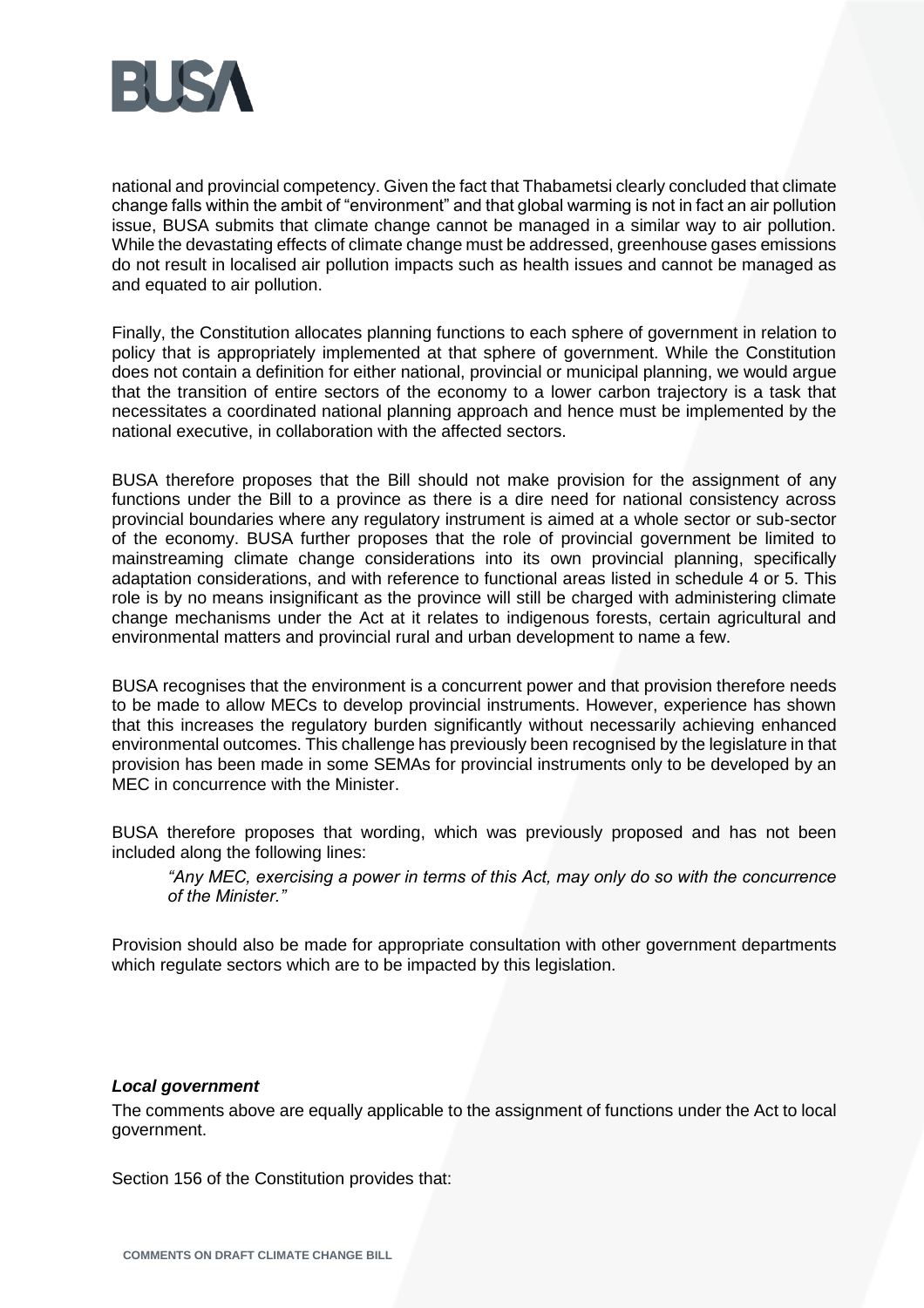

national and provincial competency. Given the fact that Thabametsi clearly concluded that climate change falls within the ambit of "environment" and that global warming is not in fact an air pollution issue, BUSA submits that climate change cannot be managed in a similar way to air pollution. While the devastating effects of climate change must be addressed, greenhouse gases emissions do not result in localised air pollution impacts such as health issues and cannot be managed as and equated to air pollution.

Finally, the Constitution allocates planning functions to each sphere of government in relation to policy that is appropriately implemented at that sphere of government. While the Constitution does not contain a definition for either national, provincial or municipal planning, we would argue that the transition of entire sectors of the economy to a lower carbon trajectory is a task that necessitates a coordinated national planning approach and hence must be implemented by the national executive, in collaboration with the affected sectors.

BUSA therefore proposes that the Bill should not make provision for the assignment of any functions under the Bill to a province as there is a dire need for national consistency across provincial boundaries where any regulatory instrument is aimed at a whole sector or sub-sector of the economy. BUSA further proposes that the role of provincial government be limited to mainstreaming climate change considerations into its own provincial planning, specifically adaptation considerations, and with reference to functional areas listed in schedule 4 or 5. This role is by no means insignificant as the province will still be charged with administering climate change mechanisms under the Act at it relates to indigenous forests, certain agricultural and environmental matters and provincial rural and urban development to name a few.

BUSA recognises that the environment is a concurrent power and that provision therefore needs to be made to allow MECs to develop provincial instruments. However, experience has shown that this increases the regulatory burden significantly without necessarily achieving enhanced environmental outcomes. This challenge has previously been recognised by the legislature in that provision has been made in some SEMAs for provincial instruments only to be developed by an MEC in concurrence with the Minister.

BUSA therefore proposes that wording, which was previously proposed and has not been included along the following lines:

*"Any MEC, exercising a power in terms of this Act, may only do so with the concurrence of the Minister."*

Provision should also be made for appropriate consultation with other government departments which regulate sectors which are to be impacted by this legislation.

## *Local government*

The comments above are equally applicable to the assignment of functions under the Act to local government.

Section 156 of the Constitution provides that: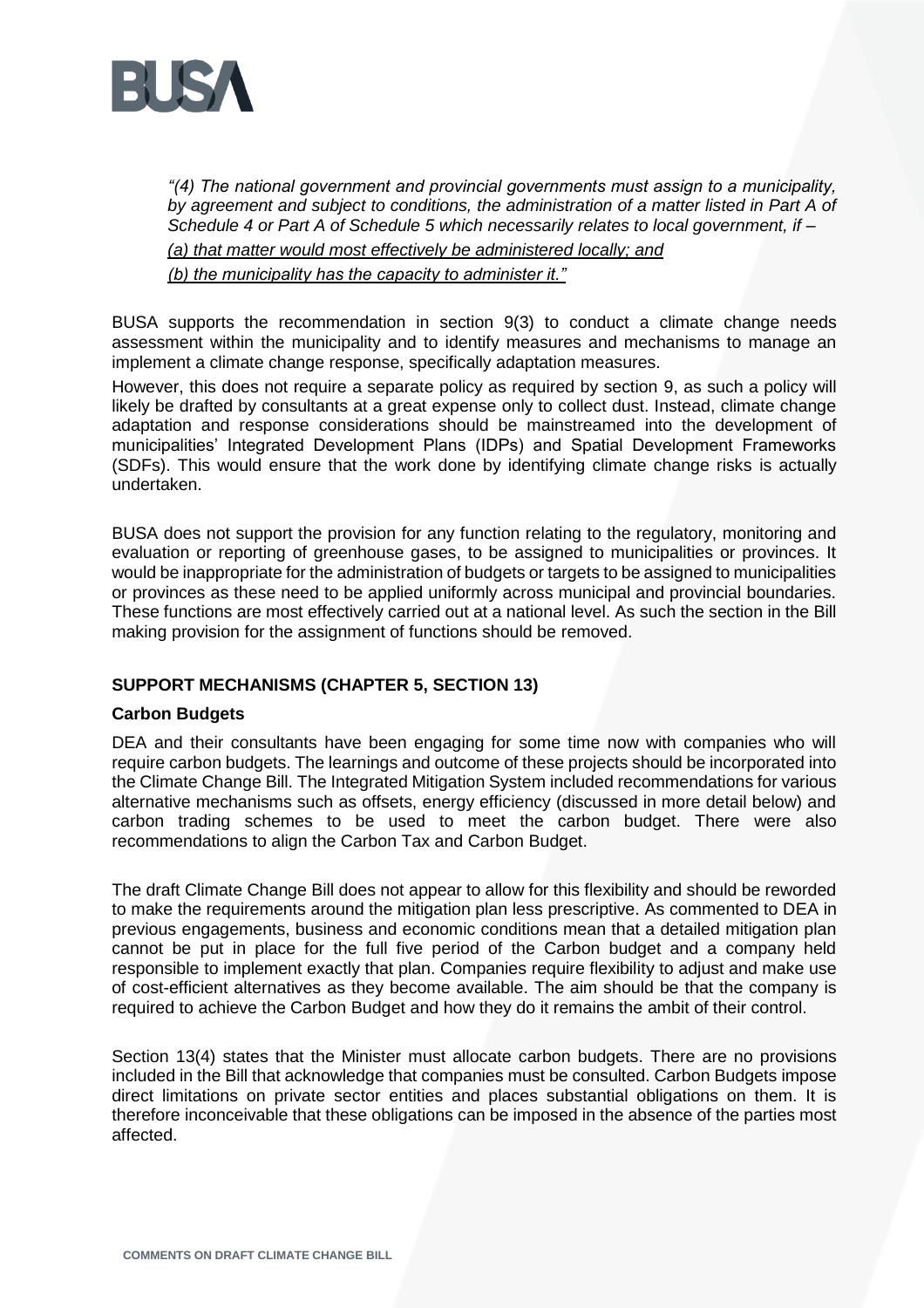

*"(4) The national government and provincial governments must assign to a municipality, by agreement and subject to conditions, the administration of a matter listed in Part A of Schedule 4 or Part A of Schedule 5 which necessarily relates to local government, if – (a) that matter would most effectively be administered locally; and*

*(b) the municipality has the capacity to administer it."*

BUSA supports the recommendation in section 9(3) to conduct a climate change needs assessment within the municipality and to identify measures and mechanisms to manage an implement a climate change response, specifically adaptation measures.

However, this does not require a separate policy as required by section 9, as such a policy will likely be drafted by consultants at a great expense only to collect dust. Instead, climate change adaptation and response considerations should be mainstreamed into the development of municipalities' Integrated Development Plans (IDPs) and Spatial Development Frameworks (SDFs). This would ensure that the work done by identifying climate change risks is actually undertaken.

BUSA does not support the provision for any function relating to the regulatory, monitoring and evaluation or reporting of greenhouse gases, to be assigned to municipalities or provinces. It would be inappropriate for the administration of budgets or targets to be assigned to municipalities or provinces as these need to be applied uniformly across municipal and provincial boundaries. These functions are most effectively carried out at a national level. As such the section in the Bill making provision for the assignment of functions should be removed.

## **SUPPORT MECHANISMS (CHAPTER 5, SECTION 13)**

## **Carbon Budgets**

DEA and their consultants have been engaging for some time now with companies who will require carbon budgets. The learnings and outcome of these projects should be incorporated into the Climate Change Bill. The Integrated Mitigation System included recommendations for various alternative mechanisms such as offsets, energy efficiency (discussed in more detail below) and carbon trading schemes to be used to meet the carbon budget. There were also recommendations to align the Carbon Tax and Carbon Budget.

The draft Climate Change Bill does not appear to allow for this flexibility and should be reworded to make the requirements around the mitigation plan less prescriptive. As commented to DEA in previous engagements, business and economic conditions mean that a detailed mitigation plan cannot be put in place for the full five period of the Carbon budget and a company held responsible to implement exactly that plan. Companies require flexibility to adjust and make use of cost-efficient alternatives as they become available. The aim should be that the company is required to achieve the Carbon Budget and how they do it remains the ambit of their control.

Section 13(4) states that the Minister must allocate carbon budgets. There are no provisions included in the Bill that acknowledge that companies must be consulted. Carbon Budgets impose direct limitations on private sector entities and places substantial obligations on them. It is therefore inconceivable that these obligations can be imposed in the absence of the parties most affected.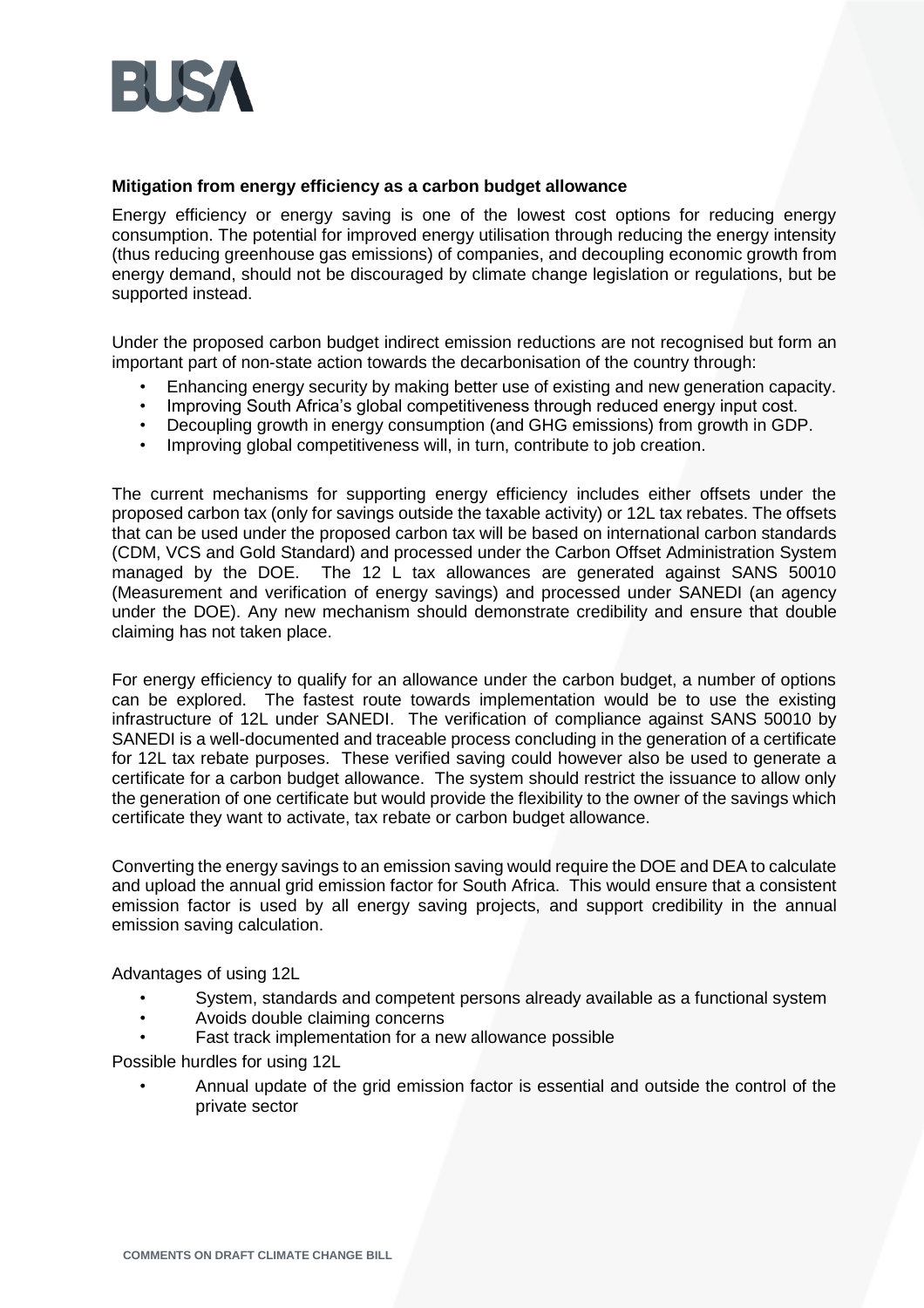

#### **Mitigation from energy efficiency as a carbon budget allowance**

Energy efficiency or energy saving is one of the lowest cost options for reducing energy consumption. The potential for improved energy utilisation through reducing the energy intensity (thus reducing greenhouse gas emissions) of companies, and decoupling economic growth from energy demand, should not be discouraged by climate change legislation or regulations, but be supported instead.

Under the proposed carbon budget indirect emission reductions are not recognised but form an important part of non-state action towards the decarbonisation of the country through:

- Enhancing energy security by making better use of existing and new generation capacity.
- Improving South Africa's global competitiveness through reduced energy input cost.
- Decoupling growth in energy consumption (and GHG emissions) from growth in GDP.
- Improving global competitiveness will, in turn, contribute to job creation.

The current mechanisms for supporting energy efficiency includes either offsets under the proposed carbon tax (only for savings outside the taxable activity) or 12L tax rebates. The offsets that can be used under the proposed carbon tax will be based on international carbon standards (CDM, VCS and Gold Standard) and processed under the Carbon Offset Administration System managed by the DOE. The 12 L tax allowances are generated against SANS 50010 (Measurement and verification of energy savings) and processed under SANEDI (an agency under the DOE). Any new mechanism should demonstrate credibility and ensure that double claiming has not taken place.

For energy efficiency to qualify for an allowance under the carbon budget, a number of options can be explored. The fastest route towards implementation would be to use the existing infrastructure of 12L under SANEDI. The verification of compliance against SANS 50010 by SANEDI is a well-documented and traceable process concluding in the generation of a certificate for 12L tax rebate purposes. These verified saving could however also be used to generate a certificate for a carbon budget allowance. The system should restrict the issuance to allow only the generation of one certificate but would provide the flexibility to the owner of the savings which certificate they want to activate, tax rebate or carbon budget allowance.

Converting the energy savings to an emission saving would require the DOE and DEA to calculate and upload the annual grid emission factor for South Africa. This would ensure that a consistent emission factor is used by all energy saving projects, and support credibility in the annual emission saving calculation.

Advantages of using 12L

- System, standards and competent persons already available as a functional system
- Avoids double claiming concerns
- Fast track implementation for a new allowance possible

Possible hurdles for using 12L

• Annual update of the grid emission factor is essential and outside the control of the private sector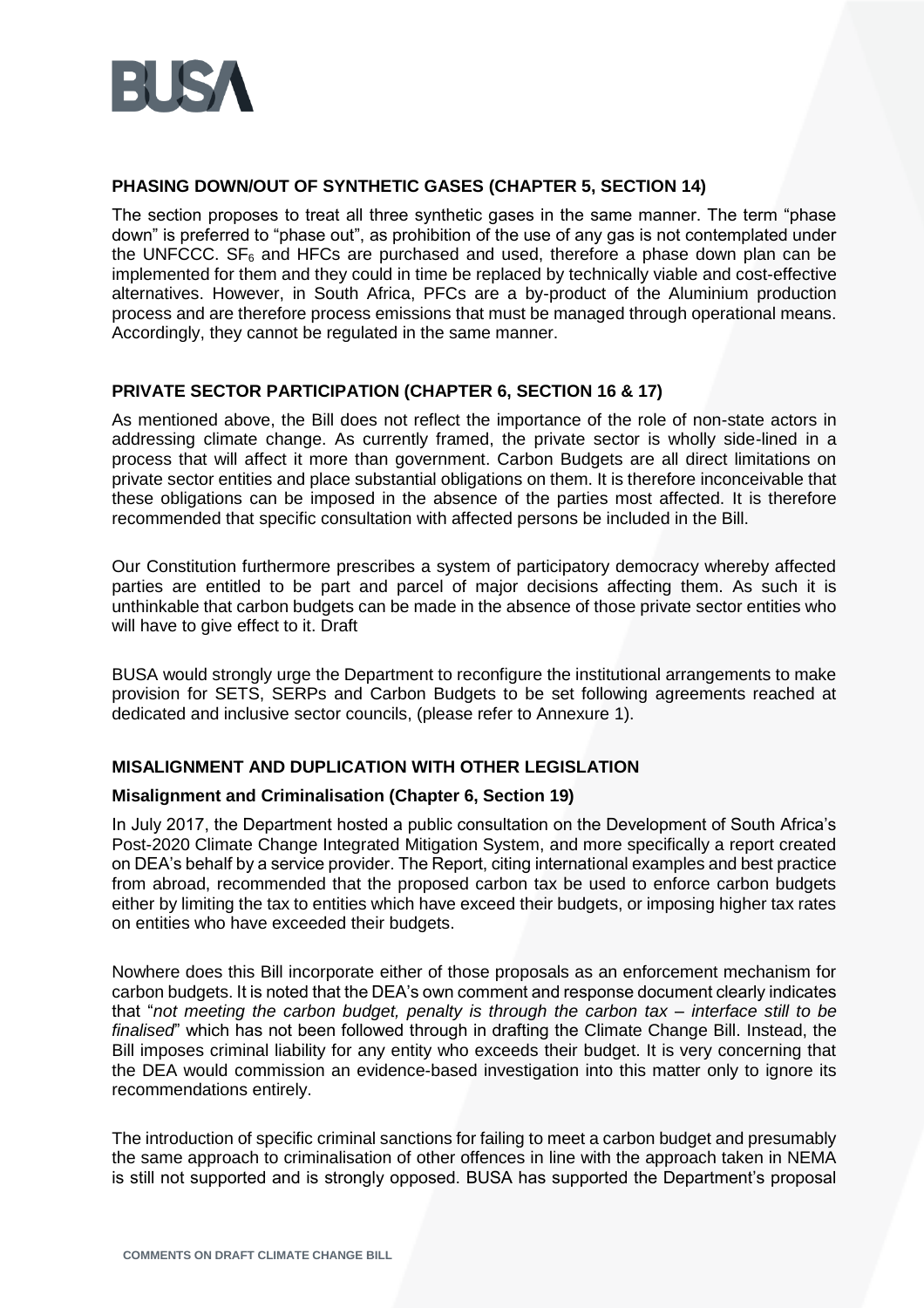

## **PHASING DOWN/OUT OF SYNTHETIC GASES (CHAPTER 5, SECTION 14)**

The section proposes to treat all three synthetic gases in the same manner. The term "phase down" is preferred to "phase out", as prohibition of the use of any gas is not contemplated under the UNFCCC.  $SF_6$  and HFCs are purchased and used, therefore a phase down plan can be implemented for them and they could in time be replaced by technically viable and cost-effective alternatives. However, in South Africa, PFCs are a by-product of the Aluminium production process and are therefore process emissions that must be managed through operational means. Accordingly, they cannot be regulated in the same manner.

## **PRIVATE SECTOR PARTICIPATION (CHAPTER 6, SECTION 16 & 17)**

As mentioned above, the Bill does not reflect the importance of the role of non-state actors in addressing climate change. As currently framed, the private sector is wholly side-lined in a process that will affect it more than government. Carbon Budgets are all direct limitations on private sector entities and place substantial obligations on them. It is therefore inconceivable that these obligations can be imposed in the absence of the parties most affected. It is therefore recommended that specific consultation with affected persons be included in the Bill.

Our Constitution furthermore prescribes a system of participatory democracy whereby affected parties are entitled to be part and parcel of major decisions affecting them. As such it is unthinkable that carbon budgets can be made in the absence of those private sector entities who will have to give effect to it. Draft

BUSA would strongly urge the Department to reconfigure the institutional arrangements to make provision for SETS, SERPs and Carbon Budgets to be set following agreements reached at dedicated and inclusive sector councils, (please refer to Annexure 1).

## **MISALIGNMENT AND DUPLICATION WITH OTHER LEGISLATION**

## **Misalignment and Criminalisation (Chapter 6, Section 19)**

In July 2017, the Department hosted a public consultation on the Development of South Africa's Post-2020 Climate Change Integrated Mitigation System, and more specifically a report created on DEA's behalf by a service provider. The Report, citing international examples and best practice from abroad, recommended that the proposed carbon tax be used to enforce carbon budgets either by limiting the tax to entities which have exceed their budgets, or imposing higher tax rates on entities who have exceeded their budgets.

Nowhere does this Bill incorporate either of those proposals as an enforcement mechanism for carbon budgets. It is noted that the DEA's own comment and response document clearly indicates that "*not meeting the carbon budget, penalty is through the carbon tax – interface still to be finalised*" which has not been followed through in drafting the Climate Change Bill. Instead, the Bill imposes criminal liability for any entity who exceeds their budget. It is very concerning that the DEA would commission an evidence-based investigation into this matter only to ignore its recommendations entirely.

The introduction of specific criminal sanctions for failing to meet a carbon budget and presumably the same approach to criminalisation of other offences in line with the approach taken in NEMA is still not supported and is strongly opposed. BUSA has supported the Department's proposal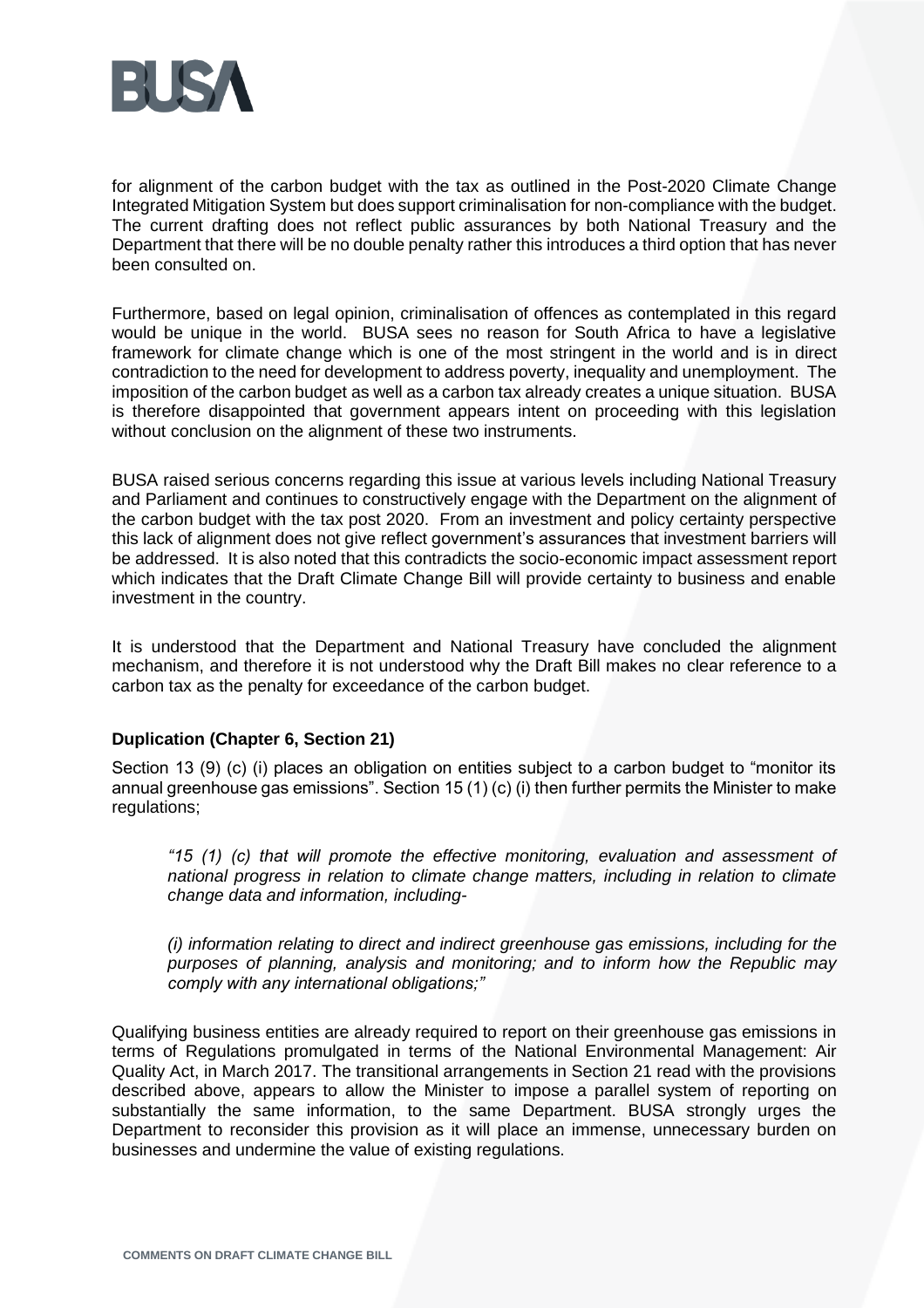

for alignment of the carbon budget with the tax as outlined in the Post-2020 Climate Change Integrated Mitigation System but does support criminalisation for non-compliance with the budget. The current drafting does not reflect public assurances by both National Treasury and the Department that there will be no double penalty rather this introduces a third option that has never been consulted on.

Furthermore, based on legal opinion, criminalisation of offences as contemplated in this regard would be unique in the world. BUSA sees no reason for South Africa to have a legislative framework for climate change which is one of the most stringent in the world and is in direct contradiction to the need for development to address poverty, inequality and unemployment. The imposition of the carbon budget as well as a carbon tax already creates a unique situation. BUSA is therefore disappointed that government appears intent on proceeding with this legislation without conclusion on the alignment of these two instruments.

BUSA raised serious concerns regarding this issue at various levels including National Treasury and Parliament and continues to constructively engage with the Department on the alignment of the carbon budget with the tax post 2020. From an investment and policy certainty perspective this lack of alignment does not give reflect government's assurances that investment barriers will be addressed. It is also noted that this contradicts the socio-economic impact assessment report which indicates that the Draft Climate Change Bill will provide certainty to business and enable investment in the country.

It is understood that the Department and National Treasury have concluded the alignment mechanism, and therefore it is not understood why the Draft Bill makes no clear reference to a carbon tax as the penalty for exceedance of the carbon budget.

## **Duplication (Chapter 6, Section 21)**

Section 13 (9) (c) (i) places an obligation on entities subject to a carbon budget to "monitor its annual greenhouse gas emissions". Section 15 (1) (c) (i) then further permits the Minister to make regulations;

*"15 (1) (c) that will promote the effective monitoring, evaluation and assessment of national progress in relation to climate change matters, including in relation to climate change data and information, including-*

*(i) information relating to direct and indirect greenhouse gas emissions, including for the purposes of planning, analysis and monitoring; and to inform how the Republic may comply with any international obligations;"*

Qualifying business entities are already required to report on their greenhouse gas emissions in terms of Regulations promulgated in terms of the National Environmental Management: Air Quality Act, in March 2017. The transitional arrangements in Section 21 read with the provisions described above, appears to allow the Minister to impose a parallel system of reporting on substantially the same information, to the same Department. BUSA strongly urges the Department to reconsider this provision as it will place an immense, unnecessary burden on businesses and undermine the value of existing regulations.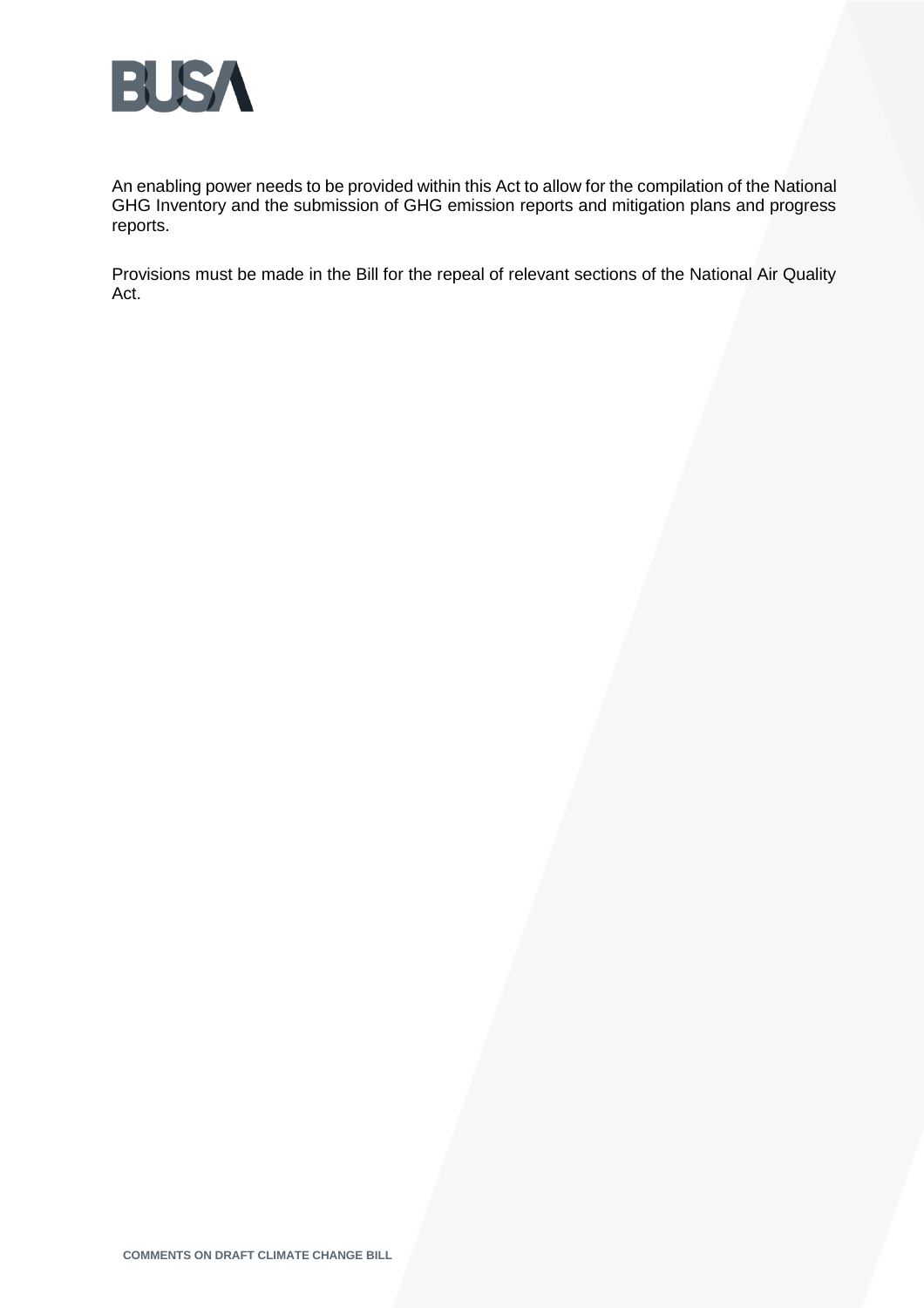

An enabling power needs to be provided within this Act to allow for the compilation of the National GHG Inventory and the submission of GHG emission reports and mitigation plans and progress reports.

Provisions must be made in the Bill for the repeal of relevant sections of the National Air Quality Act.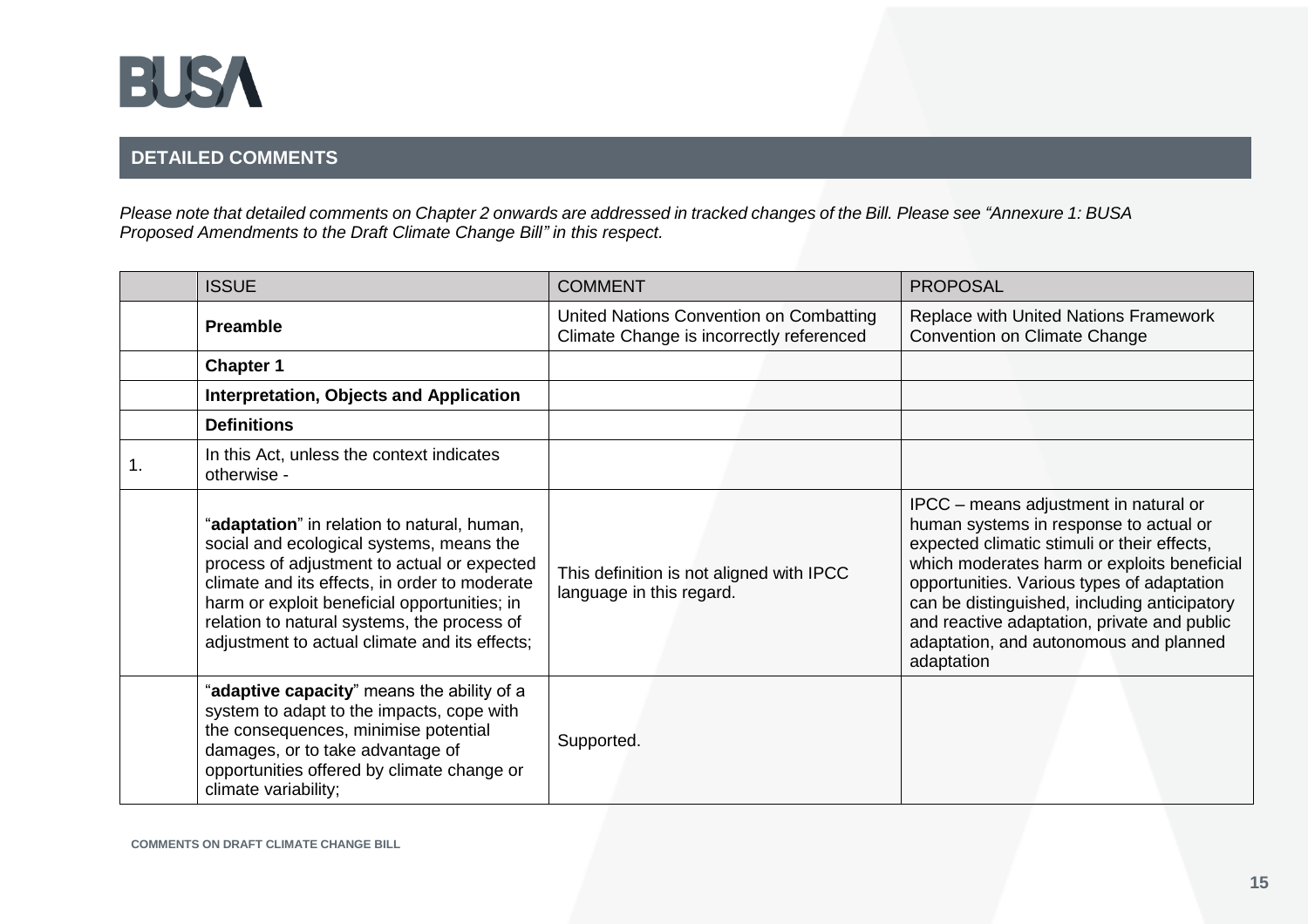

# **DETAILED COMMENTS**

*Please note that detailed comments on Chapter 2 onwards are addressed in tracked changes of the Bill. Please see "Annexure 1: BUSA Proposed Amendments to the Draft Climate Change Bill" in this respect.* 

| <b>ISSUE</b>                                                                                                                                                                                                                                                                                                                            | <b>COMMENT</b>                                                                      | <b>PROPOSAL</b>                                                                                                                                                                                                                                                                                                                                                                    |
|-----------------------------------------------------------------------------------------------------------------------------------------------------------------------------------------------------------------------------------------------------------------------------------------------------------------------------------------|-------------------------------------------------------------------------------------|------------------------------------------------------------------------------------------------------------------------------------------------------------------------------------------------------------------------------------------------------------------------------------------------------------------------------------------------------------------------------------|
| <b>Preamble</b>                                                                                                                                                                                                                                                                                                                         | United Nations Convention on Combatting<br>Climate Change is incorrectly referenced | Replace with United Nations Framework<br><b>Convention on Climate Change</b>                                                                                                                                                                                                                                                                                                       |
| <b>Chapter 1</b>                                                                                                                                                                                                                                                                                                                        |                                                                                     |                                                                                                                                                                                                                                                                                                                                                                                    |
| Interpretation, Objects and Application                                                                                                                                                                                                                                                                                                 |                                                                                     |                                                                                                                                                                                                                                                                                                                                                                                    |
| <b>Definitions</b>                                                                                                                                                                                                                                                                                                                      |                                                                                     |                                                                                                                                                                                                                                                                                                                                                                                    |
| In this Act, unless the context indicates<br>otherwise -                                                                                                                                                                                                                                                                                |                                                                                     |                                                                                                                                                                                                                                                                                                                                                                                    |
| "adaptation" in relation to natural, human,<br>social and ecological systems, means the<br>process of adjustment to actual or expected<br>climate and its effects, in order to moderate<br>harm or exploit beneficial opportunities; in<br>relation to natural systems, the process of<br>adjustment to actual climate and its effects; | This definition is not aligned with IPCC<br>language in this regard.                | IPCC - means adjustment in natural or<br>human systems in response to actual or<br>expected climatic stimuli or their effects,<br>which moderates harm or exploits beneficial<br>opportunities. Various types of adaptation<br>can be distinguished, including anticipatory<br>and reactive adaptation, private and public<br>adaptation, and autonomous and planned<br>adaptation |
| "adaptive capacity" means the ability of a<br>system to adapt to the impacts, cope with<br>the consequences, minimise potential<br>damages, or to take advantage of<br>opportunities offered by climate change or<br>climate variability;                                                                                               | Supported.                                                                          |                                                                                                                                                                                                                                                                                                                                                                                    |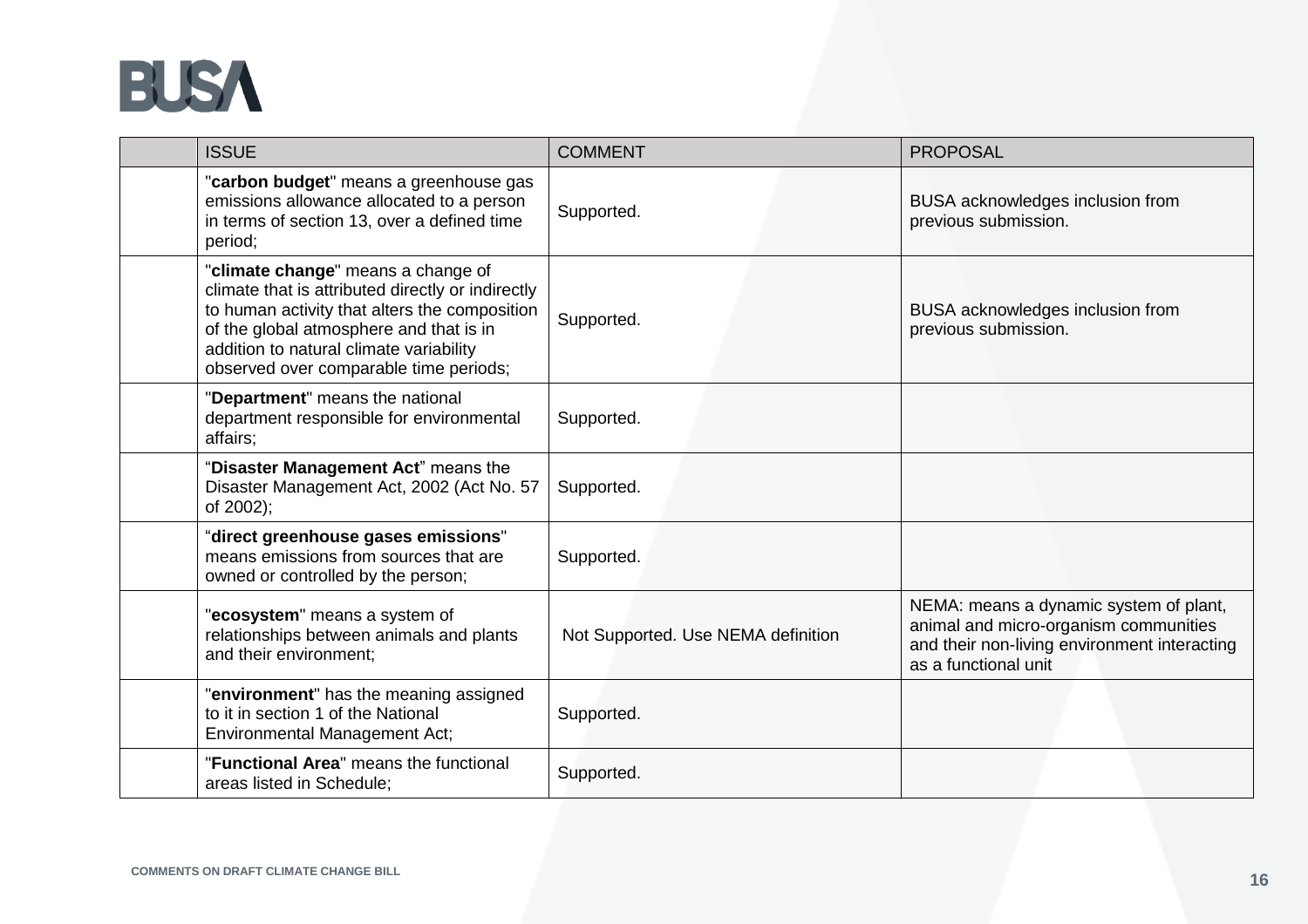

| <b>ISSUE</b>                                                                                                                                                                                                                                                             | <b>COMMENT</b>                     | <b>PROPOSAL</b>                                                                                                                                         |
|--------------------------------------------------------------------------------------------------------------------------------------------------------------------------------------------------------------------------------------------------------------------------|------------------------------------|---------------------------------------------------------------------------------------------------------------------------------------------------------|
| "carbon budget" means a greenhouse gas<br>emissions allowance allocated to a person<br>in terms of section 13, over a defined time<br>period;                                                                                                                            | Supported.                         | BUSA acknowledges inclusion from<br>previous submission.                                                                                                |
| "climate change" means a change of<br>climate that is attributed directly or indirectly<br>to human activity that alters the composition<br>of the global atmosphere and that is in<br>addition to natural climate variability<br>observed over comparable time periods; | Supported.                         | BUSA acknowledges inclusion from<br>previous submission.                                                                                                |
| "Department" means the national<br>department responsible for environmental<br>affairs;                                                                                                                                                                                  | Supported.                         |                                                                                                                                                         |
| "Disaster Management Act" means the<br>Disaster Management Act, 2002 (Act No. 57<br>of 2002);                                                                                                                                                                            | Supported.                         |                                                                                                                                                         |
| "direct greenhouse gases emissions"<br>means emissions from sources that are<br>owned or controlled by the person;                                                                                                                                                       | Supported.                         |                                                                                                                                                         |
| "ecosystem" means a system of<br>relationships between animals and plants<br>and their environment:                                                                                                                                                                      | Not Supported. Use NEMA definition | NEMA: means a dynamic system of plant,<br>animal and micro-organism communities<br>and their non-living environment interacting<br>as a functional unit |
| "environment" has the meaning assigned<br>to it in section 1 of the National<br><b>Environmental Management Act;</b>                                                                                                                                                     | Supported.                         |                                                                                                                                                         |
| "Functional Area" means the functional<br>areas listed in Schedule:                                                                                                                                                                                                      | Supported.                         |                                                                                                                                                         |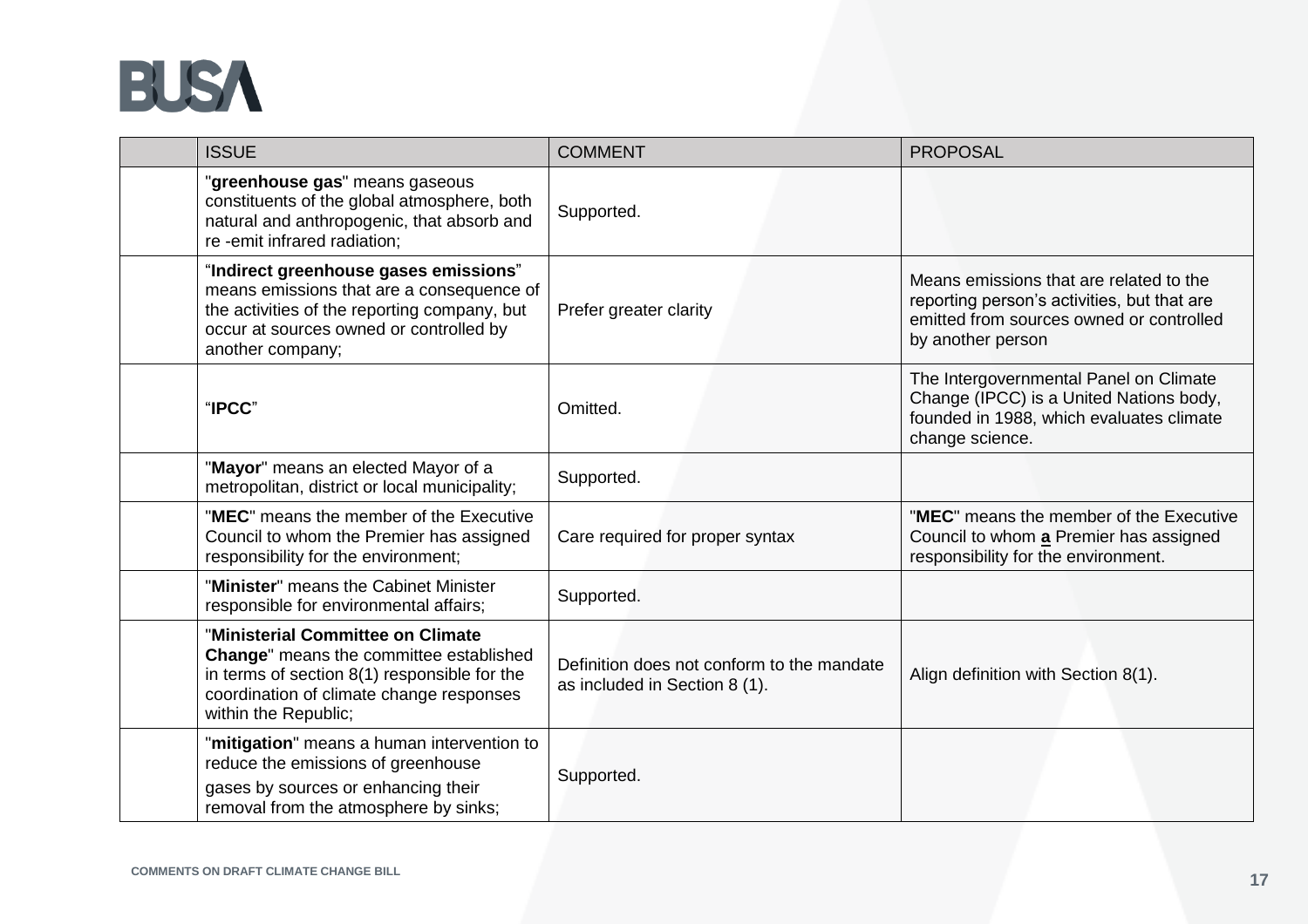

| <b>ISSUE</b>                                                                                                                                                                                      | <b>COMMENT</b>                                                              | <b>PROPOSAL</b>                                                                                                                                         |
|---------------------------------------------------------------------------------------------------------------------------------------------------------------------------------------------------|-----------------------------------------------------------------------------|---------------------------------------------------------------------------------------------------------------------------------------------------------|
| "greenhouse gas" means gaseous<br>constituents of the global atmosphere, both<br>natural and anthropogenic, that absorb and<br>re -emit infrared radiation;                                       | Supported.                                                                  |                                                                                                                                                         |
| "Indirect greenhouse gases emissions"<br>means emissions that are a consequence of<br>the activities of the reporting company, but<br>occur at sources owned or controlled by<br>another company; | Prefer greater clarity                                                      | Means emissions that are related to the<br>reporting person's activities, but that are<br>emitted from sources owned or controlled<br>by another person |
| "IPCC"                                                                                                                                                                                            | Omitted.                                                                    | The Intergovernmental Panel on Climate<br>Change (IPCC) is a United Nations body,<br>founded in 1988, which evaluates climate<br>change science.        |
| "Mayor" means an elected Mayor of a<br>metropolitan, district or local municipality;                                                                                                              | Supported.                                                                  |                                                                                                                                                         |
| "MEC" means the member of the Executive<br>Council to whom the Premier has assigned<br>responsibility for the environment;                                                                        | Care required for proper syntax                                             | "MEC" means the member of the Executive<br>Council to whom a Premier has assigned<br>responsibility for the environment.                                |
| "Minister" means the Cabinet Minister<br>responsible for environmental affairs;                                                                                                                   | Supported.                                                                  |                                                                                                                                                         |
| "Ministerial Committee on Climate<br>Change" means the committee established<br>in terms of section 8(1) responsible for the<br>coordination of climate change responses<br>within the Republic;  | Definition does not conform to the mandate<br>as included in Section 8 (1). | Align definition with Section 8(1).                                                                                                                     |
| "mitigation" means a human intervention to<br>reduce the emissions of greenhouse<br>gases by sources or enhancing their<br>removal from the atmosphere by sinks;                                  | Supported.                                                                  |                                                                                                                                                         |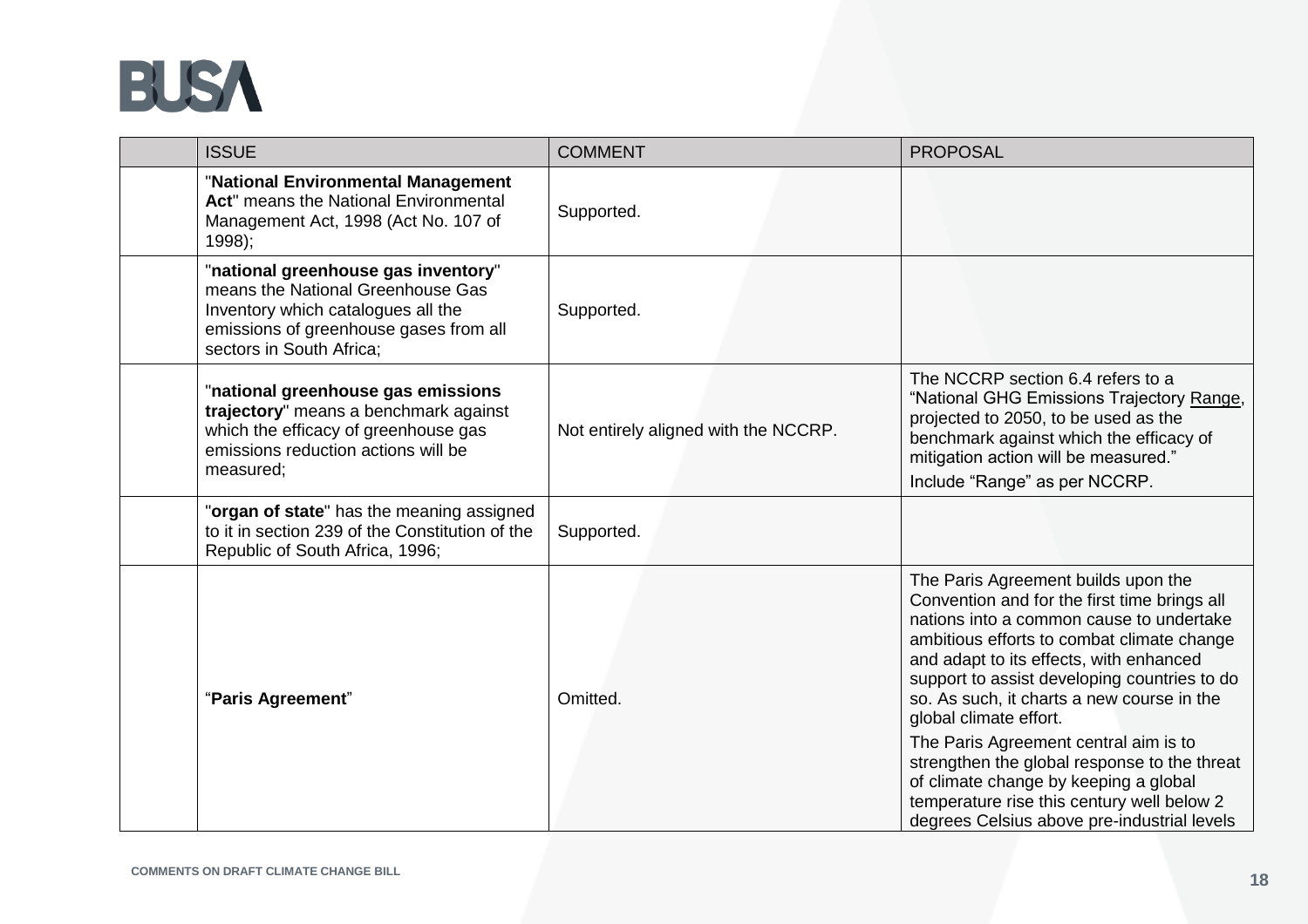

| <b>ISSUE</b>                                                                                                                                                                         | <b>COMMENT</b>                       | <b>PROPOSAL</b>                                                                                                                                                                                                                                                                                                                                                                                                                                                                                                                                                                 |
|--------------------------------------------------------------------------------------------------------------------------------------------------------------------------------------|--------------------------------------|---------------------------------------------------------------------------------------------------------------------------------------------------------------------------------------------------------------------------------------------------------------------------------------------------------------------------------------------------------------------------------------------------------------------------------------------------------------------------------------------------------------------------------------------------------------------------------|
| "National Environmental Management<br>Act" means the National Environmental<br>Management Act, 1998 (Act No. 107 of<br>$1998$ ;                                                      | Supported.                           |                                                                                                                                                                                                                                                                                                                                                                                                                                                                                                                                                                                 |
| "national greenhouse gas inventory"<br>means the National Greenhouse Gas<br>Inventory which catalogues all the<br>emissions of greenhouse gases from all<br>sectors in South Africa; | Supported.                           |                                                                                                                                                                                                                                                                                                                                                                                                                                                                                                                                                                                 |
| "national greenhouse gas emissions<br>trajectory" means a benchmark against<br>which the efficacy of greenhouse gas<br>emissions reduction actions will be<br>measured;              | Not entirely aligned with the NCCRP. | The NCCRP section 6.4 refers to a<br>"National GHG Emissions Trajectory Range,<br>projected to 2050, to be used as the<br>benchmark against which the efficacy of<br>mitigation action will be measured."<br>Include "Range" as per NCCRP.                                                                                                                                                                                                                                                                                                                                      |
| "organ of state" has the meaning assigned<br>to it in section 239 of the Constitution of the<br>Republic of South Africa, 1996;                                                      | Supported.                           |                                                                                                                                                                                                                                                                                                                                                                                                                                                                                                                                                                                 |
| "Paris Agreement"                                                                                                                                                                    | Omitted.                             | The Paris Agreement builds upon the<br>Convention and for the first time brings all<br>nations into a common cause to undertake<br>ambitious efforts to combat climate change<br>and adapt to its effects, with enhanced<br>support to assist developing countries to do<br>so. As such, it charts a new course in the<br>global climate effort.<br>The Paris Agreement central aim is to<br>strengthen the global response to the threat<br>of climate change by keeping a global<br>temperature rise this century well below 2<br>degrees Celsius above pre-industrial levels |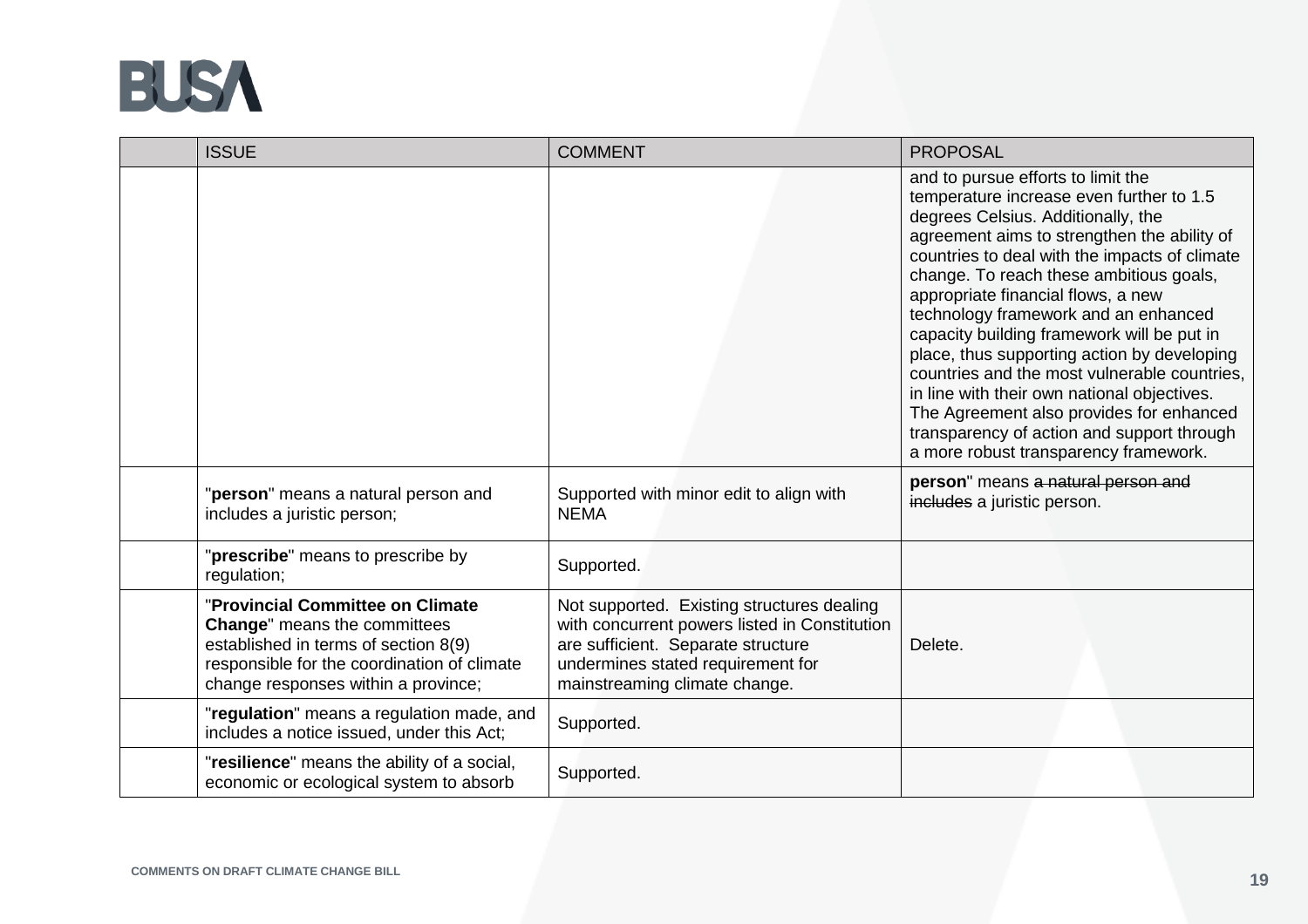

| <b>ISSUE</b>                                                                                                                                                                                          | <b>COMMENT</b>                                                                                                                                                                                          | <b>PROPOSAL</b>                                                                                                                                                                                                                                                                                                                                                                                                                                                                                                                                                                                                                                                              |
|-------------------------------------------------------------------------------------------------------------------------------------------------------------------------------------------------------|---------------------------------------------------------------------------------------------------------------------------------------------------------------------------------------------------------|------------------------------------------------------------------------------------------------------------------------------------------------------------------------------------------------------------------------------------------------------------------------------------------------------------------------------------------------------------------------------------------------------------------------------------------------------------------------------------------------------------------------------------------------------------------------------------------------------------------------------------------------------------------------------|
|                                                                                                                                                                                                       |                                                                                                                                                                                                         | and to pursue efforts to limit the<br>temperature increase even further to 1.5<br>degrees Celsius. Additionally, the<br>agreement aims to strengthen the ability of<br>countries to deal with the impacts of climate<br>change. To reach these ambitious goals,<br>appropriate financial flows, a new<br>technology framework and an enhanced<br>capacity building framework will be put in<br>place, thus supporting action by developing<br>countries and the most vulnerable countries,<br>in line with their own national objectives.<br>The Agreement also provides for enhanced<br>transparency of action and support through<br>a more robust transparency framework. |
| "person" means a natural person and<br>includes a juristic person;                                                                                                                                    | Supported with minor edit to align with<br><b>NEMA</b>                                                                                                                                                  | person" means a natural person and<br>includes a juristic person.                                                                                                                                                                                                                                                                                                                                                                                                                                                                                                                                                                                                            |
| "prescribe" means to prescribe by<br>regulation;                                                                                                                                                      | Supported.                                                                                                                                                                                              |                                                                                                                                                                                                                                                                                                                                                                                                                                                                                                                                                                                                                                                                              |
| "Provincial Committee on Climate<br><b>Change"</b> means the committees<br>established in terms of section 8(9)<br>responsible for the coordination of climate<br>change responses within a province; | Not supported. Existing structures dealing<br>with concurrent powers listed in Constitution<br>are sufficient. Separate structure<br>undermines stated requirement for<br>mainstreaming climate change. | Delete.                                                                                                                                                                                                                                                                                                                                                                                                                                                                                                                                                                                                                                                                      |
| "regulation" means a regulation made, and<br>includes a notice issued, under this Act;                                                                                                                | Supported.                                                                                                                                                                                              |                                                                                                                                                                                                                                                                                                                                                                                                                                                                                                                                                                                                                                                                              |
| "resilience" means the ability of a social,<br>economic or ecological system to absorb                                                                                                                | Supported.                                                                                                                                                                                              |                                                                                                                                                                                                                                                                                                                                                                                                                                                                                                                                                                                                                                                                              |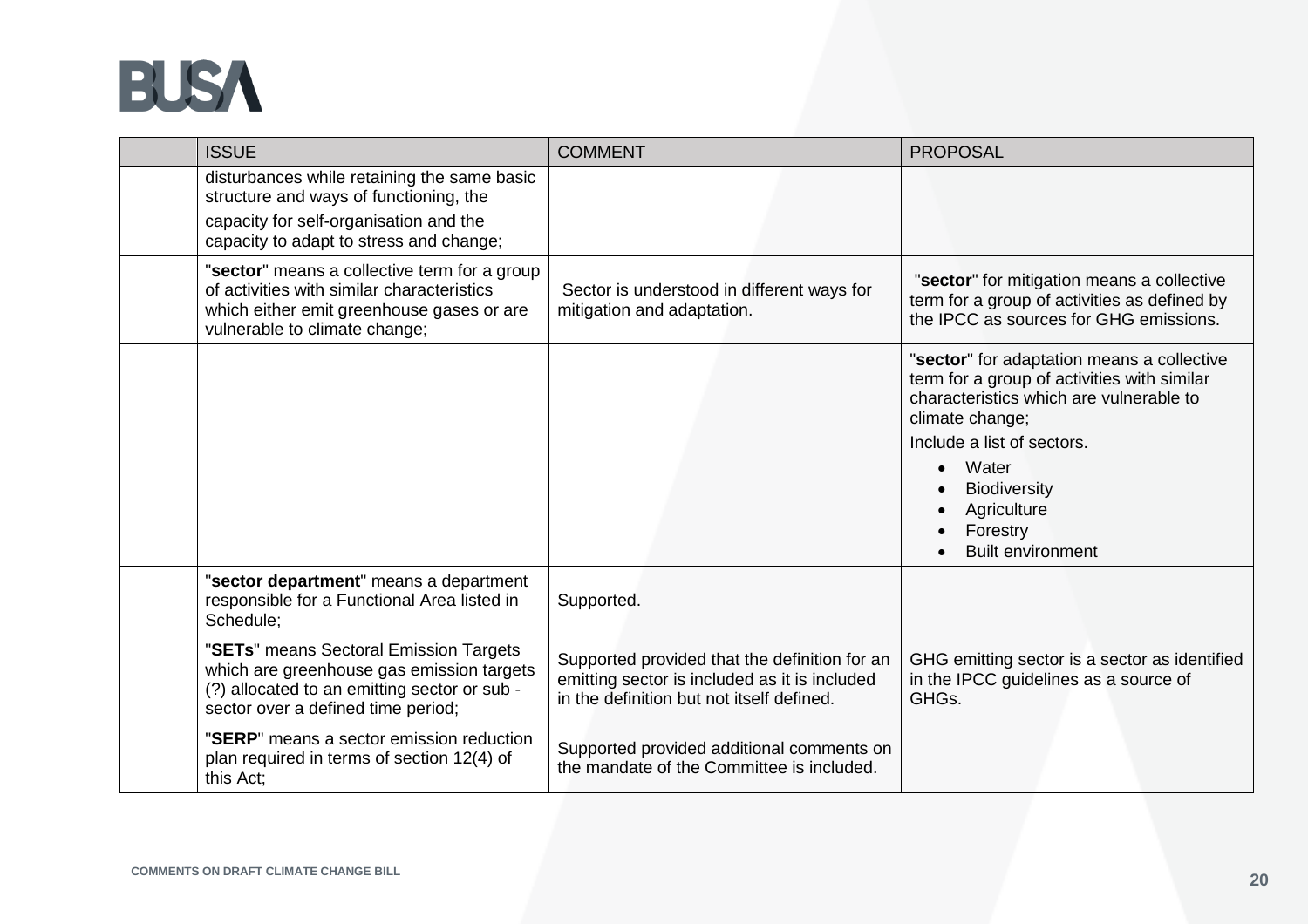

| <b>ISSUE</b>                                                                                                                                                               | <b>COMMENT</b>                                                                                                                              | <b>PROPOSAL</b>                                                                                                                                                                                                                                                              |
|----------------------------------------------------------------------------------------------------------------------------------------------------------------------------|---------------------------------------------------------------------------------------------------------------------------------------------|------------------------------------------------------------------------------------------------------------------------------------------------------------------------------------------------------------------------------------------------------------------------------|
| disturbances while retaining the same basic<br>structure and ways of functioning, the<br>capacity for self-organisation and the<br>capacity to adapt to stress and change; |                                                                                                                                             |                                                                                                                                                                                                                                                                              |
| "sector" means a collective term for a group<br>of activities with similar characteristics<br>which either emit greenhouse gases or are<br>vulnerable to climate change;   | Sector is understood in different ways for<br>mitigation and adaptation.                                                                    | "sector" for mitigation means a collective<br>term for a group of activities as defined by<br>the IPCC as sources for GHG emissions.                                                                                                                                         |
|                                                                                                                                                                            |                                                                                                                                             | "sector" for adaptation means a collective<br>term for a group of activities with similar<br>characteristics which are vulnerable to<br>climate change;<br>Include a list of sectors.<br>Water<br><b>Biodiversity</b><br>Agriculture<br>Forestry<br><b>Built environment</b> |
| "sector department" means a department<br>responsible for a Functional Area listed in<br>Schedule:                                                                         | Supported.                                                                                                                                  |                                                                                                                                                                                                                                                                              |
| "SETs" means Sectoral Emission Targets<br>which are greenhouse gas emission targets<br>(?) allocated to an emitting sector or sub -<br>sector over a defined time period;  | Supported provided that the definition for an<br>emitting sector is included as it is included<br>in the definition but not itself defined. | GHG emitting sector is a sector as identified<br>in the IPCC guidelines as a source of<br>GHG <sub>s</sub> .                                                                                                                                                                 |
| "SERP" means a sector emission reduction<br>plan required in terms of section 12(4) of<br>this Act:                                                                        | Supported provided additional comments on<br>the mandate of the Committee is included.                                                      |                                                                                                                                                                                                                                                                              |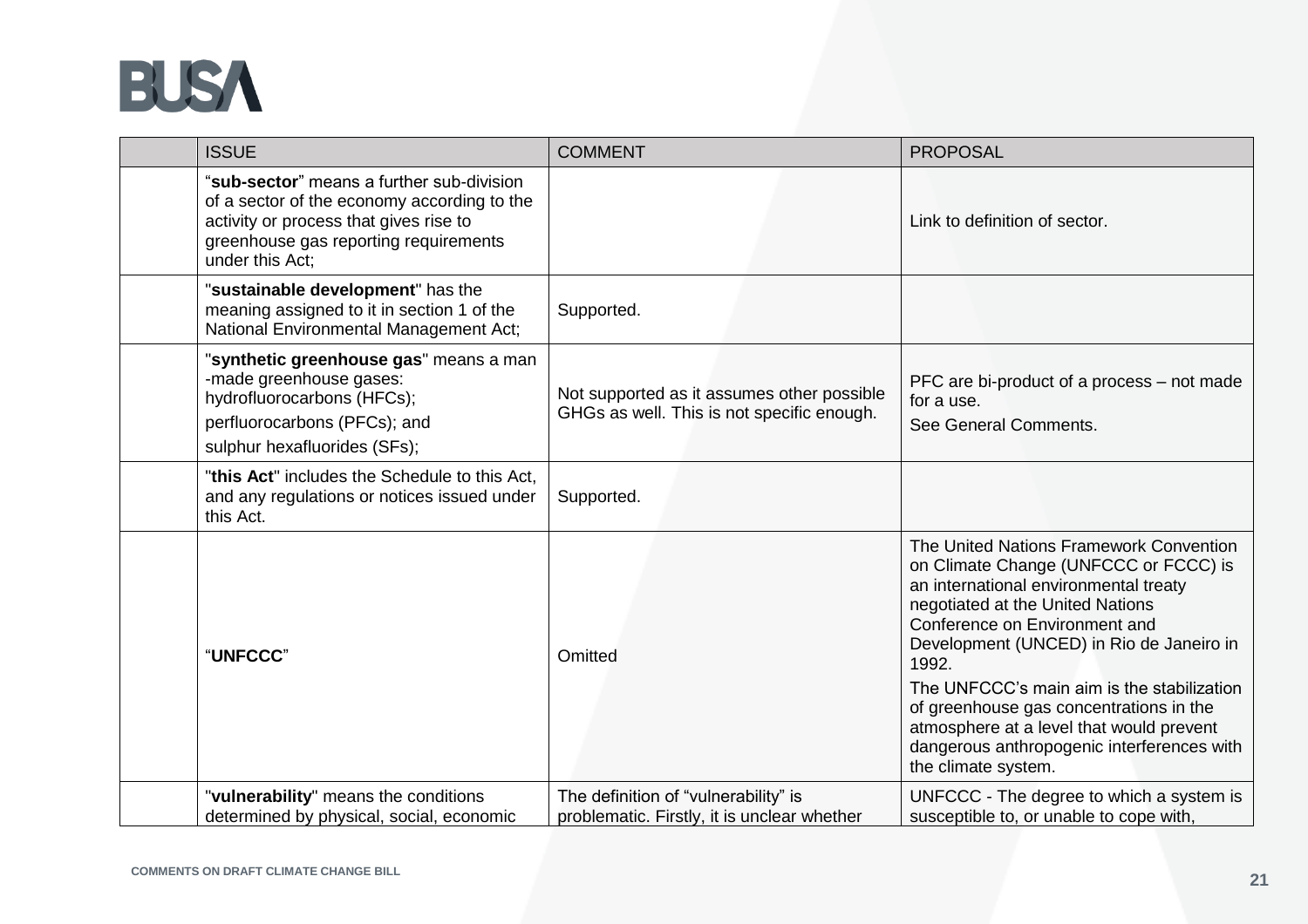

| <b>ISSUE</b>                                                                                                                                                                                   | <b>COMMENT</b>                                                                           | <b>PROPOSAL</b>                                                                                                                                                                                                                                                                                                                                                                                                                                               |
|------------------------------------------------------------------------------------------------------------------------------------------------------------------------------------------------|------------------------------------------------------------------------------------------|---------------------------------------------------------------------------------------------------------------------------------------------------------------------------------------------------------------------------------------------------------------------------------------------------------------------------------------------------------------------------------------------------------------------------------------------------------------|
| "sub-sector" means a further sub-division<br>of a sector of the economy according to the<br>activity or process that gives rise to<br>greenhouse gas reporting requirements<br>under this Act: |                                                                                          | Link to definition of sector.                                                                                                                                                                                                                                                                                                                                                                                                                                 |
| "sustainable development" has the<br>meaning assigned to it in section 1 of the<br>National Environmental Management Act;                                                                      | Supported.                                                                               |                                                                                                                                                                                                                                                                                                                                                                                                                                                               |
| "synthetic greenhouse gas" means a man<br>-made greenhouse gases:<br>hydrofluorocarbons (HFCs);<br>perfluorocarbons (PFCs); and<br>sulphur hexafluorides (SFs);                                | Not supported as it assumes other possible<br>GHGs as well. This is not specific enough. | PFC are bi-product of a process - not made<br>for a use.<br>See General Comments.                                                                                                                                                                                                                                                                                                                                                                             |
| "this Act" includes the Schedule to this Act,<br>and any regulations or notices issued under<br>this Act.                                                                                      | Supported.                                                                               |                                                                                                                                                                                                                                                                                                                                                                                                                                                               |
| "UNFCCC"                                                                                                                                                                                       | Omitted                                                                                  | The United Nations Framework Convention<br>on Climate Change (UNFCCC or FCCC) is<br>an international environmental treaty<br>negotiated at the United Nations<br>Conference on Environment and<br>Development (UNCED) in Rio de Janeiro in<br>1992.<br>The UNFCCC's main aim is the stabilization<br>of greenhouse gas concentrations in the<br>atmosphere at a level that would prevent<br>dangerous anthropogenic interferences with<br>the climate system. |
| "vulnerability" means the conditions<br>determined by physical, social, economic                                                                                                               | The definition of "vulnerability" is<br>problematic. Firstly, it is unclear whether      | UNFCCC - The degree to which a system is<br>susceptible to, or unable to cope with,                                                                                                                                                                                                                                                                                                                                                                           |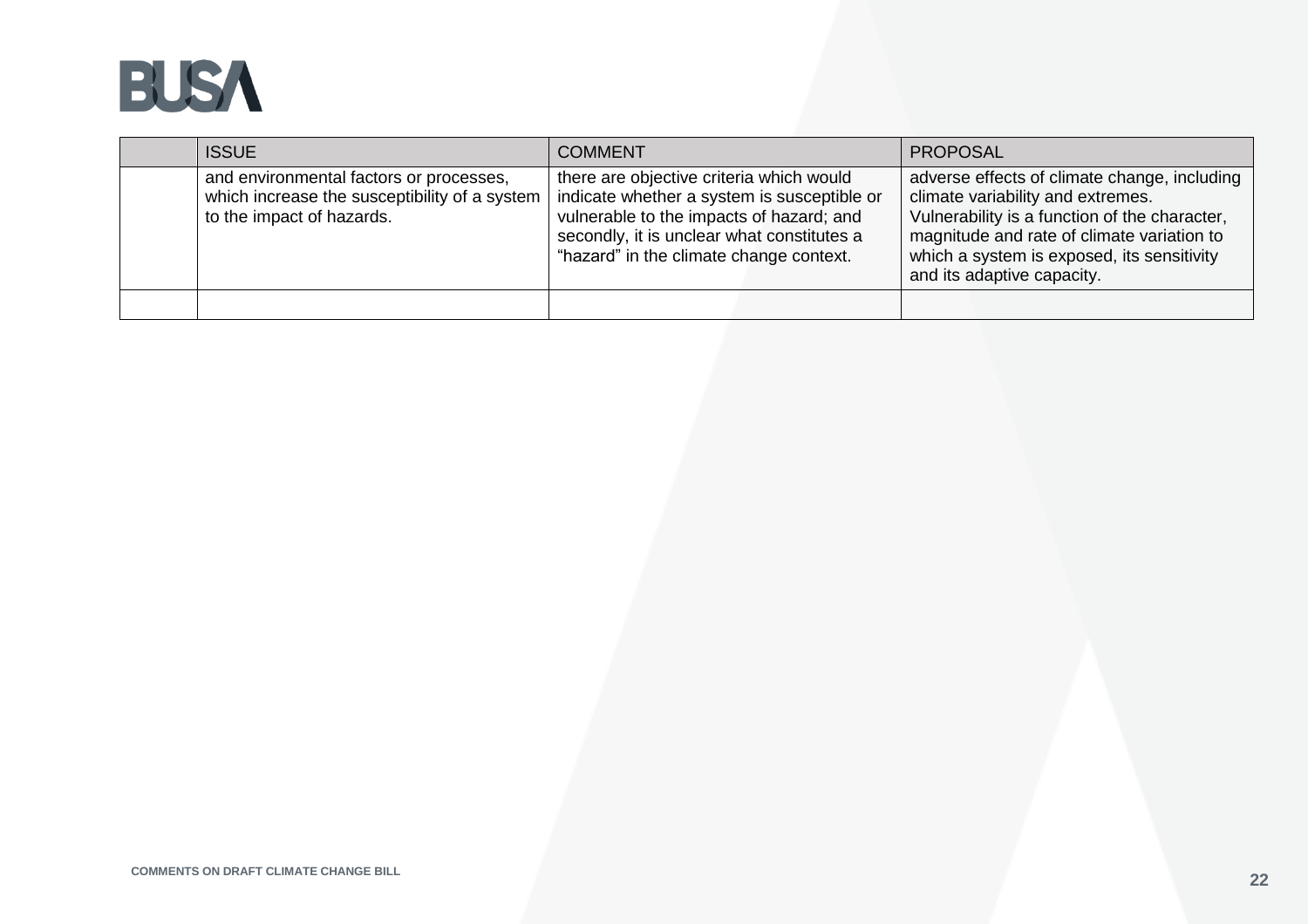

| <b>ISSUE</b>                                                                                                          | <b>COMMENT</b>                                                                                                                                                                                                               | <b>PROPOSAL</b>                                                                                                                                                                                                                                              |
|-----------------------------------------------------------------------------------------------------------------------|------------------------------------------------------------------------------------------------------------------------------------------------------------------------------------------------------------------------------|--------------------------------------------------------------------------------------------------------------------------------------------------------------------------------------------------------------------------------------------------------------|
| and environmental factors or processes,<br>which increase the susceptibility of a system<br>to the impact of hazards. | there are objective criteria which would<br>indicate whether a system is susceptible or<br>vulnerable to the impacts of hazard; and<br>secondly, it is unclear what constitutes a<br>"hazard" in the climate change context. | adverse effects of climate change, including<br>climate variability and extremes.<br>Vulnerability is a function of the character,<br>magnitude and rate of climate variation to<br>which a system is exposed, its sensitivity<br>and its adaptive capacity. |
|                                                                                                                       |                                                                                                                                                                                                                              |                                                                                                                                                                                                                                                              |